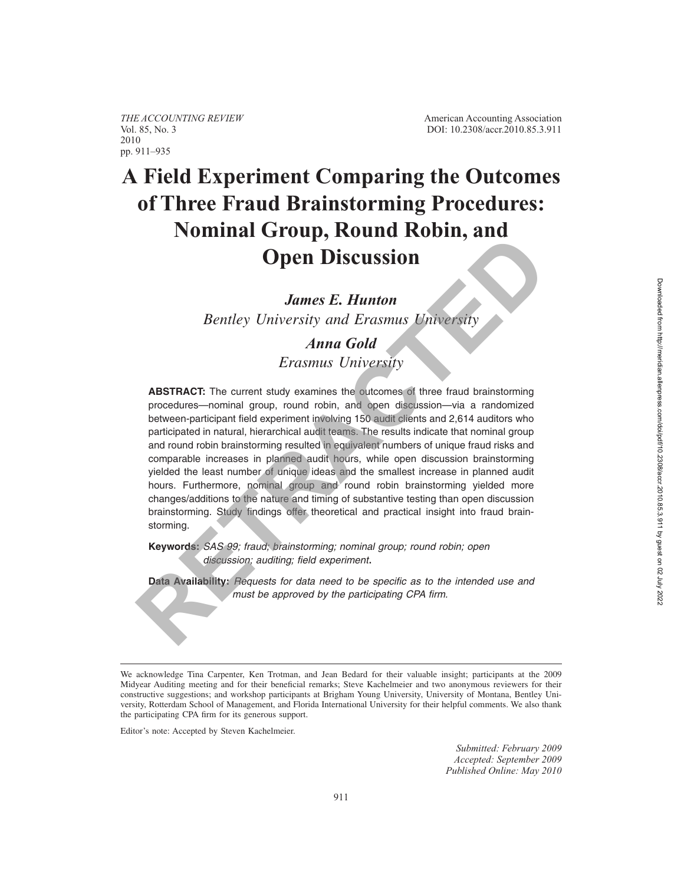**THE ACCOUNTING REVIEW American Accounting Association** 2010 pp. 911–935

# **A Field Experiment Comparing the Outcomes of Three Fraud Brainstorming Procedures: Nominal Group, Round Robin, and Open Discussion**

*James E. Hunton Bentley University and Erasmus University*

# *Anna Gold Erasmus University*

**ABSTRACT:** The current study examines the outcomes of three fraud brainstorming procedures—nominal group, round robin, and open discussion—via a randomized between-participant field experiment involving 150 audit clients and 2,614 auditors who participated in natural, hierarchical audit teams. The results indicate that nominal group and round robin brainstorming resulted in equivalent numbers of unique fraud risks and comparable increases in planned audit hours, while open discussion brainstorming yielded the least number of unique ideas and the smallest increase in planned audit hours. Furthermore, nominal group and round robin brainstorming yielded more changes/additions to the nature and timing of substantive testing than open discussion brainstorming. Study findings offer theoretical and practical insight into fraud brainstorming. **Example 19 and Security CONSUMPATION**<br> **RETRACT:** The current study examines the outcomes of three fraud branchisming<br>
RETRACT: The current study examines the outcomes of three fraud branchisming<br>
procedures—nominal group

**Keywords:** *SAS 99; fraud; brainstorming; nominal group; round robin; open discussion; auditing; field experiment*.

**Data Availability:** *Requests for data need to be specific as to the intended use and must be approved by the participating CPA firm.*

Editor's note: Accepted by Steven Kachelmeier.

*Submitted: February 2009 Accepted: September 2009 Published Online: May 2010*

We acknowledge Tina Carpenter, Ken Trotman, and Jean Bedard for their valuable insight; participants at the 2009 Midyear Auditing meeting and for their beneficial remarks; Steve Kachelmeier and two anonymous reviewers for their constructive suggestions; and workshop participants at Brigham Young University, University of Montana, Bentley University, Rotterdam School of Management, and Florida International University for their helpful comments. We also thank the participating CPA firm for its generous support.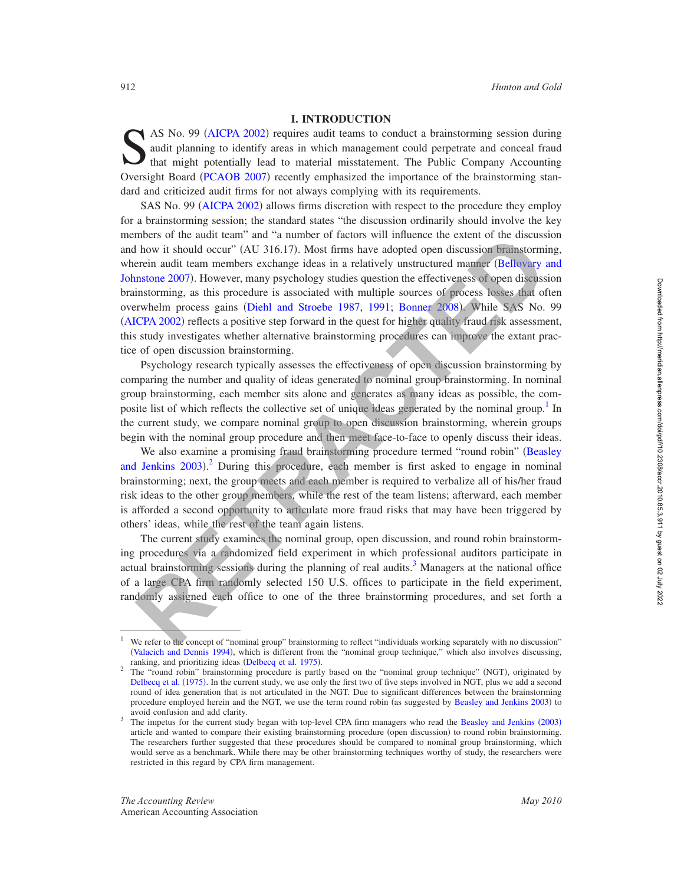# **I. INTRODUCTION**

SAS No. 99 ([AICPA 2002](#page-22-0)) requires audit teams to conduct a brainstorming session during<br>audit planning to identify areas in which management could perpetrate and conceal fraud<br>that might potentially lead to material misstat audit planning to identify areas in which management could perpetrate and conceal fraud that might potentially lead to material misstatement. The Public Company Accounting Oversight Board ([PCAOB 2007](#page-23-0)) recently emphasized the importance of the brainstorming standard and criticized audit firms for not always complying with its requirements.

SAS No. 99 ([AICPA 2002](#page-22-0)) allows firms discretion with respect to the procedure they employ for a brainstorming session; the standard states "the discussion ordinarily should involve the key members of the audit team" and "a number of factors will influence the extent of the discussion and how it should occur" (AU 316.17). Most firms have adopted open discussion brainstorming, wherein audit team members exchange ideas in a relatively unstructured manner (Bellovary and Johnstone 2007). However, many psychology studies question the effectiveness of open discussion brainstorming, as this procedure is associated with multiple sources of process losses that often overwhelm process gains (Diehl and Stroebe 1987, 1991; Bonner 2008). While SAS No. 99 (AICPA 2002) reflects a positive step forward in the quest for higher quality fraud risk assessment, this study investigates whether alternative brainstorming procedures can improve the extant practice of open discussion brainstorming. mines or the autat team and a number of ractors will minuele the extent of the discussion<br>how it should occur<sup>\*</sup> (AU 316.17). Most firms have adopted open discussion brankstorm<br>recin andit team members exchange ideas in a

Psychology research typically assesses the effectiveness of open discussion brainstorming by comparing the number and quality of ideas generated to nominal group brainstorming. In nominal group brainstorming, each member sits alone and generates as many ideas as possible, the composite list of which reflects the collective set of unique ideas generated by the nominal group.<sup>1</sup> In the current study, we compare nominal group to open discussion brainstorming, wherein groups begin with the nominal group procedure and then meet face-to-face to openly discuss their ideas.

We also examine a promising fraud brainstorming procedure termed "round robin" ([Beasley](#page-22-3) and Jenkins 2003).<sup>2</sup> During this procedure, each member is first asked to engage in nominal brainstorming; next, the group meets and each member is required to verbalize all of his/her fraud risk ideas to the other group members, while the rest of the team listens; afterward, each member is afforded a second opportunity to articulate more fraud risks that may have been triggered by others' ideas, while the rest of the team again listens.

The current study examines the nominal group, open discussion, and round robin brainstorming procedures via a randomized field experiment in which professional auditors participate in actual brainstorming sessions during the planning of real audits.<sup>3</sup> Managers at the national office of a large CPA firm randomly selected 150 U.S. offices to participate in the field experiment, randomly assigned each office to one of the three brainstorming procedures, and set forth a

<span id="page-1-1"></span><span id="page-1-0"></span>We refer to the concept of "nominal group" brainstorming to reflect "individuals working separately with no discussion" ([Valacich and Dennis 1994](#page-23-3)), which is different from the "nominal group technique," which also involves discussing, ranking, and prioritizing ideas ([Delbecq et al. 1975](#page-23-4)).

<span id="page-1-2"></span>ranking, and prioritizing ideas (Delbecq et al. 1975).<br><sup>2</sup> The "round robin" brainstorming procedure is partly based on the "nominal group technique" (NGT), originated by [Delbecq et al.](#page-23-4) (1975). In the current study, we use only the first two of five steps involved in NGT, plus we add a second round of idea generation that is not articulated in the NGT. Due to significant differences between the brainstorming procedure employed herein and the NGT, we use the term round robin (as suggested by [Beasley and Jenkins 2003](#page-22-3)) to

avoid confusion and add clarity.<br><sup>3</sup> The impetus for the current study began with top-level CPA firm managers who read the [Beasley and Jenkins](#page-22-3) (2003) article and wanted to compare their existing brainstorming procedure (open discussion) to round robin brainstorming. The researchers further suggested that these procedures should be compared to nominal group brainstorming, which would serve as a benchmark. While there may be other brainstorming techniques worthy of study, the researchers were restricted in this regard by CPA firm management.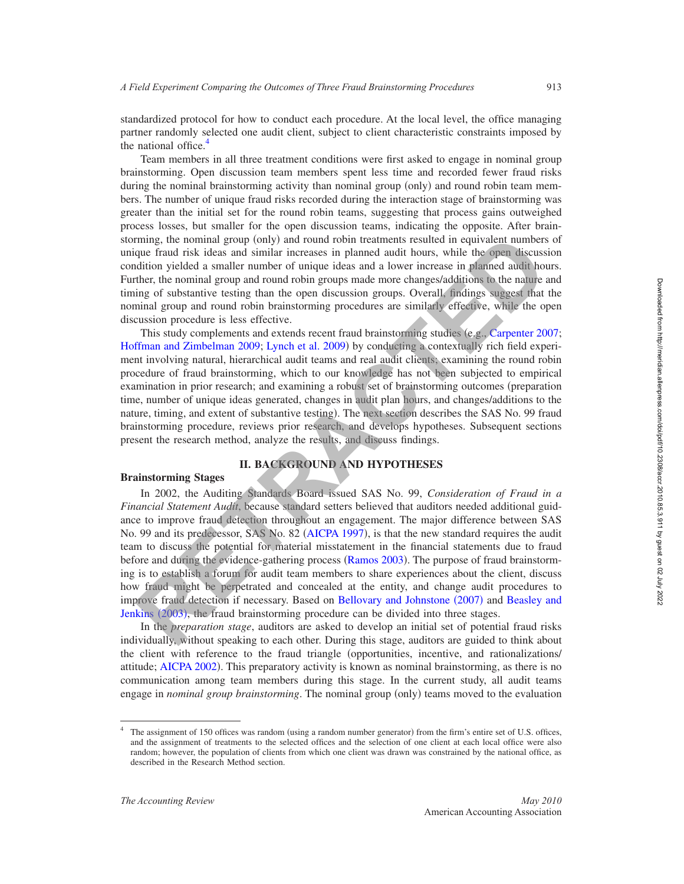standardized protocol for how to conduct each procedure. At the local level, the office managing partner randomly selected one audit client, subject to client characteristic constraints imposed by the national office.<sup>4</sup>

Team members in all three treatment conditions were first asked to engage in nominal group brainstorming. Open discussion team members spent less time and recorded fewer fraud risks during the nominal brainstorming activity than nominal group (only) and round robin team members. The number of unique fraud risks recorded during the interaction stage of brainstorming was greater than the initial set for the round robin teams, suggesting that process gains outweighed process losses, but smaller for the open discussion teams, indicating the opposite. After brainstorming, the nominal group (only) and round robin treatments resulted in equivalent numbers of unique fraud risk ideas and similar increases in planned audit hours, while the open discussion condition yielded a smaller number of unique ideas and a lower increase in planned audit hours. Further, the nominal group and round robin groups made more changes/additions to the nature and timing of substantive testing than the open discussion groups. Overall, findings suggest that the nominal group and round robin brainstorming procedures are similarly effective, while the open discussion procedure is less effective.

This study complements and extends recent fraud brainstorming studies (e.g., Carpenter 2007; Hoffman and Zimbelman 2009; Lynch et al. 2009) by conducting a contextually rich field experiment involving natural, hierarchical audit teams and real audit clients; examining the round robin procedure of fraud brainstorming, which to our knowledge has not been subjected to empirical examination in prior research; and examining a robust set of brainstorming outcomes (preparation time, number of unique ideas generated, changes in audit plan hours, and changes/additions to the nature, timing, and extent of substantive testing). The next section describes the SAS No. 99 fraud brainstorming procedure, reviews prior research, and develops hypotheses. Subsequent sections present the research method, analyze the results, and discuss findings.

# **II. BACKGROUND AND HYPOTHESES**

# **Brainstorming Stages**

In 2002, the Auditing Standards Board issued SAS No. 99, *Consideration of Fraud in a Financial Statement Audit*, because standard setters believed that auditors needed additional guidance to improve fraud detection throughout an engagement. The major difference between SAS No. 99 and its predecessor, SAS No. 82 (AICPA 1997), is that the new standard requires the audit team to discuss the potential for material misstatement in the financial statements due to fraud before and during the evidence-gathering process (Ramos 2003). The purpose of fraud brainstorming is to establish a forum for audit team members to share experiences about the client, discuss how fraud might be perpetrated and concealed at the entity, and change audit procedures to improve fraud detection if necessary. Based on Bellovary and Johnstone (2007) and [Beasley and](#page-22-3) Jenkins (2003), the fraud brainstorming procedure can be divided into three stages. rring, the nominal group (only) and round robin treatments resulted in equivalent numbers<br>(i.e. parameterism) and round robin terators in planned and it house, while the 'open discuss<br>(idition yielded a smaller number of u

In the *preparation stage*, auditors are asked to develop an initial set of potential fraud risks individually, without speaking to each other. During this stage, auditors are guided to think about the client with reference to the fraud triangle (opportunities, incentive, and rationalizations/ attitude; [AICPA 2002](#page-22-0)). This preparatory activity is known as nominal brainstorming, as there is no communication among team members during this stage. In the current study, all audit teams engage in *nominal group brainstorming*. The nominal group (only) teams moved to the evaluation

<span id="page-2-0"></span> $4$  The assignment of 150 offices was random (using a random number generator) from the firm's entire set of U.S. offices, and the assignment of treatments to the selected offices and the selection of one client at each local office were also random; however, the population of clients from which one client was drawn was constrained by the national office, as described in the Research Method section.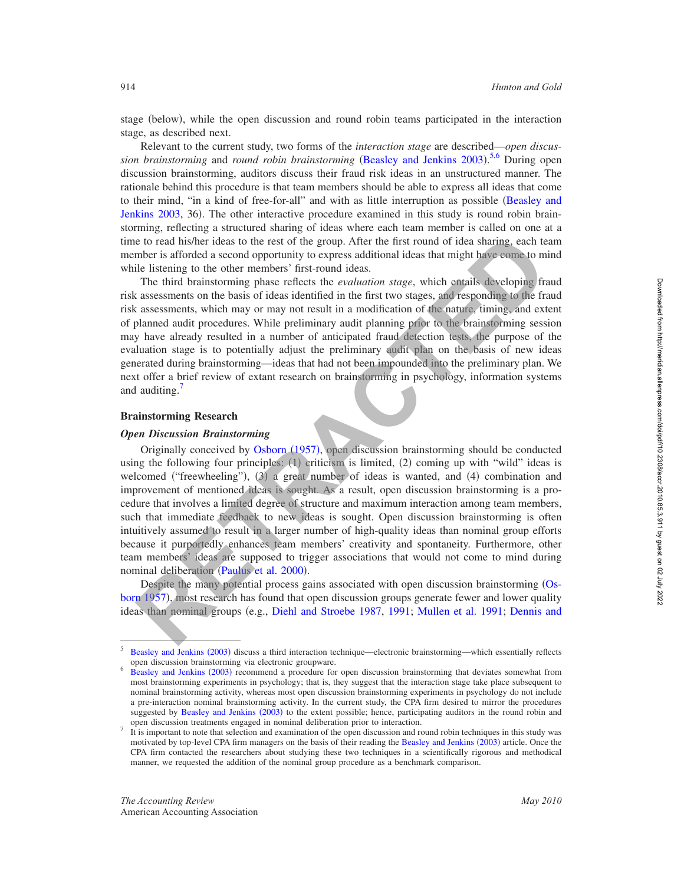stage (below), while the open discussion and round robin teams participated in the interaction stage, as described next.

Relevant to the current study, two forms of the *interaction stage* are described—*open discus*sion brainstorming and *round robin brainstorming* ([Beasley and Jenkins 2003](#page-22-3)).<sup>[5](#page-3-0)[,6](#page-3-1)</sup> During open discussion brainstorming, auditors discuss their fraud risk ideas in an unstructured manner. The rationale behind this procedure is that team members should be able to express all ideas that come to their mind, "in a kind of free-for-all" and with as little interruption as possible ([Beasley and](#page-22-3) [Jenkins 2003,](#page-22-3) 36). The other interactive procedure examined in this study is round robin brainstorming, reflecting a structured sharing of ideas where each team member is called on one at a time to read his/her ideas to the rest of the group. After the first round of idea sharing, each team member is afforded a second opportunity to express additional ideas that might have come to mind while listening to the other members' first-round ideas.

The third brainstorming phase reflects the *evaluation stage*, which entails developing fraud risk assessments on the basis of ideas identified in the first two stages, and responding to the fraud risk assessments, which may or may not result in a modification of the nature, timing, and extent of planned audit procedures. While preliminary audit planning prior to the brainstorming session may have already resulted in a number of anticipated fraud detection tests, the purpose of the evaluation stage is to potentially adjust the preliminary audit plan on the basis of new ideas generated during brainstorming—ideas that had not been impounded into the preliminary plan. We next offer a brief review of extant research on brainstorming in psychology, information systems and auditing.<sup>1</sup>

#### **Brainstorming Research**

#### *Open Discussion Brainstorming*

Originally conceived by Osborn (1957), open discussion brainstorming should be conducted using the following four principles: (1) criticism is limited, (2) coming up with "wild" ideas is welcomed ("freewheeling"), (3) a great number of ideas is wanted, and (4) combination and improvement of mentioned ideas is sought. As a result, open discussion brainstorming is a procedure that involves a limited degree of structure and maximum interaction among team members, such that immediate feedback to new ideas is sought. Open discussion brainstorming is often intuitively assumed to result in a larger number of high-quality ideas than nominal group efforts because it purportedly enhances team members' creativity and spontaneity. Furthermore, other team members' ideas are supposed to trigger associations that would not come to mind during nominal deliberation (Paulus et al. 2000). to read his/her ideas to the rest of the group. After the first round of idea sharing, each te<br>the listenting to the other members' first-round ideas. that might have eome to m<br>the listenting to the other members' first-ro

<span id="page-3-0"></span>Despite the many potential process gains associated with open discussion brainstorming ([Os](#page-23-8)[born 1957](#page-23-8)), most research has found that open discussion groups generate fewer and lower quality ideas than nominal groups (e.g., Diehl and Stroebe 1987, 1991; Mullen et al. 1991; [Dennis and](#page-23-11)

<span id="page-3-1"></span> $5$  [Beasley and Jenkins](#page-22-3) (2003) discuss a third interaction technique—electronic brainstorming—which essentially reflects

<span id="page-3-2"></span>open discussion brainstorming via electronic groupware.<br>
<sup>6</sup> [Beasley and Jenkins](#page-22-3) (2003) recommend a procedure for open discussion brainstorming that deviates somewhat from most brainstorming experiments in psychology; that is, they suggest that the interaction stage take place subsequent to nominal brainstorming activity, whereas most open discussion brainstorming experiments in psychology do not include a pre-interaction nominal brainstorming activity. In the current study, the CPA firm desired to mirror the procedures suggested by [Beasley and Jenkins](#page-22-3) (2003) to the extent possible; hence, participating auditors in the round robin and

open discussion treatments engaged in nominal deliberation prior to interaction.<br>It is important to note that selection and examination of the open discussion and round robin techniques in this study was motivated by top-level CPA firm managers on the basis of their reading the [Beasley and Jenkins](#page-22-3) (2003) article. Once the CPA firm contacted the researchers about studying these two techniques in a scientifically rigorous and methodical manner, we requested the addition of the nominal group procedure as a benchmark comparison.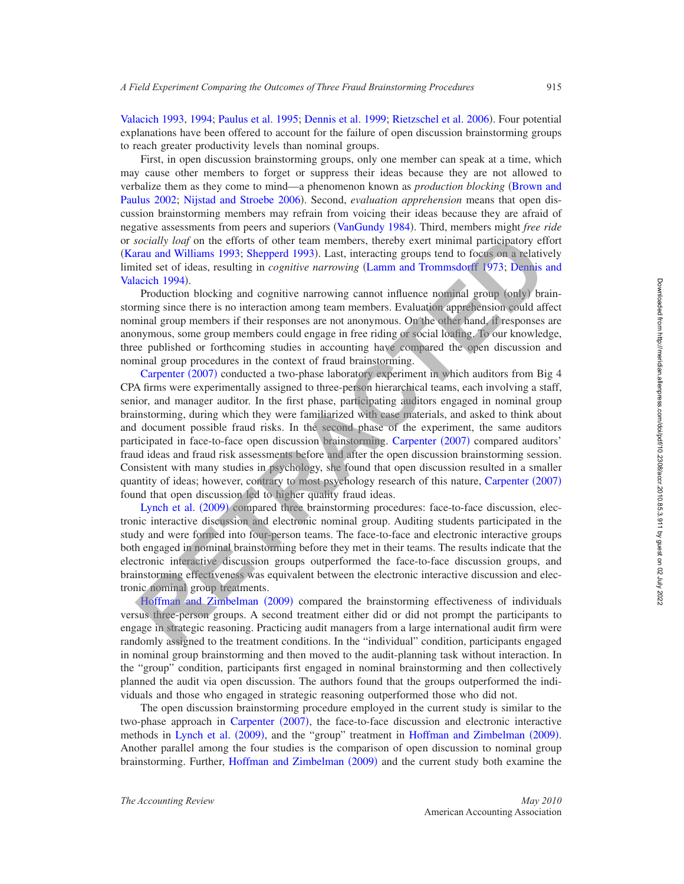[Valacich 1993,](#page-23-11) [1994;](#page-23-3) [Paulus et al. 1995;](#page-23-12) [Dennis et al. 1999;](#page-23-13) [Rietzschel et al. 2006](#page-23-14)). Four potential explanations have been offered to account for the failure of open discussion brainstorming groups to reach greater productivity levels than nominal groups.

First, in open discussion brainstorming groups, only one member can speak at a time, which may cause other members to forget or suppress their ideas because they are not allowed to verbalize them as they come to mind—a phenomenon known as *production blocking* ([Brown and](#page-22-6) [Paulus 2002;](#page-22-6) [Nijstad and Stroebe 2006](#page-23-15)). Second, *evaluation apprehension* means that open discussion brainstorming members may refrain from voicing their ideas because they are afraid of negative assessments from peers and superiors ([VanGundy 1984](#page-24-0)). Third, members might *free ride* or *socially loaf* on the efforts of other team members, thereby exert minimal participatory effort (Karau and Williams 1993; Shepperd 1993). Last, interacting groups tend to focus on a relatively limited set of ideas, resulting in *cognitive narrowing* Lamm and Trommsdorff 1973; [Dennis and](#page-23-3) Valacich 1994).

Production blocking and cognitive narrowing cannot influence nominal group (only) brainstorming since there is no interaction among team members. Evaluation apprehension could affect nominal group members if their responses are not anonymous. On the other hand, if responses are anonymous, some group members could engage in free riding or social loafing. To our knowledge, three published or forthcoming studies in accounting have compared the open discussion and nominal group procedures in the context of fraud brainstorming.

Carpenter (2007) conducted a two-phase laboratory experiment in which auditors from Big 4 CPA firms were experimentally assigned to three-person hierarchical teams, each involving a staff, senior, and manager auditor. In the first phase, participating auditors engaged in nominal group brainstorming, during which they were familiarized with case materials, and asked to think about and document possible fraud risks. In the second phase of the experiment, the same auditors participated in face-to-face open discussion brainstorming. Carpenter (2007) compared auditors' fraud ideas and fraud risk assessments before and after the open discussion brainstorming session. Consistent with many studies in psychology, she found that open discussion resulted in a smaller quantity of ideas; however, contrary to most psychology research of this nature, Carpenter (2007) found that open discussion led to higher quality fraud ideas. *Receively* load on the efforts of other team members, thereby exert minimal participatory effluent and Williams 1993; Sheepperd 1993). Last, interacting groups tend to focts on a relative incered in the case of the focts

Lynch et al. (2009) compared three brainstorming procedures: face-to-face discussion, electronic interactive discussion and electronic nominal group. Auditing students participated in the study and were formed into four-person teams. The face-to-face and electronic interactive groups both engaged in nominal brainstorming before they met in their teams. The results indicate that the electronic interactive discussion groups outperformed the face-to-face discussion groups, and brainstorming effectiveness was equivalent between the electronic interactive discussion and electronic nominal group treatments.

Hoffman and Zimbelman (2009) compared the brainstorming effectiveness of individuals versus three-person groups. A second treatment either did or did not prompt the participants to engage in strategic reasoning. Practicing audit managers from a large international audit firm were randomly assigned to the treatment conditions. In the "individual" condition, participants engaged in nominal group brainstorming and then moved to the audit-planning task without interaction. In the "group" condition, participants first engaged in nominal brainstorming and then collectively planned the audit via open discussion. The authors found that the groups outperformed the individuals and those who engaged in strategic reasoning outperformed those who did not.

The open discussion brainstorming procedure employed in the current study is similar to the two-phase approach in [Carpenter](#page-22-4) (2007), the face-to-face discussion and electronic interactive methods in [Lynch et al.](#page-23-6) (2009), and the "group" treatment in [Hoffman and Zimbelman](#page-23-5) (2009). Another parallel among the four studies is the comparison of open discussion to nominal group brainstorming. Further, [Hoffman and Zimbelman](#page-23-5) (2009) and the current study both examine the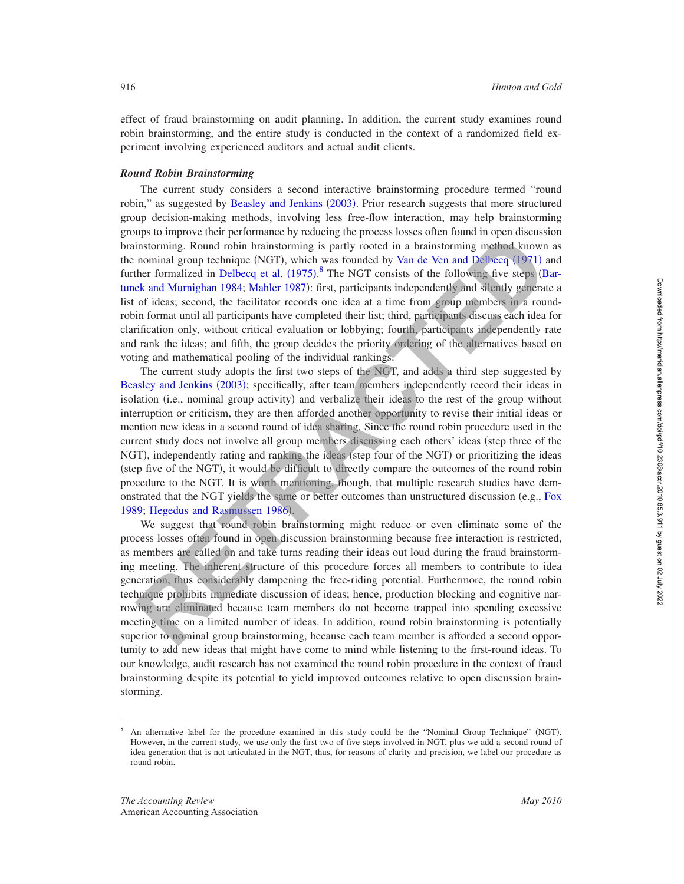effect of fraud brainstorming on audit planning. In addition, the current study examines round robin brainstorming, and the entire study is conducted in the context of a randomized field experiment involving experienced auditors and actual audit clients.

#### *Round Robin Brainstorming*

The current study considers a second interactive brainstorming procedure termed "round robin," as suggested by [Beasley and Jenkins](#page-22-3) (2003). Prior research suggests that more structured group decision-making methods, involving less free-flow interaction, may help brainstorming groups to improve their performance by reducing the process losses often found in open discussion brainstorming. Round robin brainstorming is partly rooted in a brainstorming method known as the nominal group technique (NGT), which was founded by Van de Ven and Delbecq (1971) and further formalized in Delbecq et al.  $(1975)^8$ . The NGT consists of the following five steps ([Bar](#page-22-7)tunek and Murnighan 1984; Mahler 1987): first, participants independently and silently generate a list of ideas; second, the facilitator records one idea at a time from group members in a roundrobin format until all participants have completed their list; third, participants discuss each idea for clarification only, without critical evaluation or lobbying; fourth, participants independently rate and rank the ideas; and fifth, the group decides the priority ordering of the alternatives based on voting and mathematical pooling of the individual rankings.

The current study adopts the first two steps of the NGT, and adds a third step suggested by Beasley and Jenkins (2003); specifically, after team members independently record their ideas in isolation (i.e., nominal group activity) and verbalize their ideas to the rest of the group without interruption or criticism, they are then afforded another opportunity to revise their initial ideas or mention new ideas in a second round of idea sharing. Since the round robin procedure used in the current study does not involve all group members discussing each others' ideas (step three of the NGT), independently rating and ranking the ideas (step four of the NGT) or prioritizing the ideas (step five of the NGT), it would be difficult to directly compare the outcomes of the round robin procedure to the NGT. It is worth mentioning, though, that multiple research studies have dem-onstrated that the NGT yields the same or better outcomes than unstructured discussion (e.g., [Fox](#page-23-20) [1989;](#page-23-20) Hegedus and Rasmussen 1986). playe the method model proposition of the constrained the procedinal method choosing the procedinal proposition behavior in a procedin a brankstorming method known<br>instorming. Round robin brankstorming is partly rooted in

We suggest that round robin brainstorming might reduce or even eliminate some of the process losses often found in open discussion brainstorming because free interaction is restricted, as members are called on and take turns reading their ideas out loud during the fraud brainstorming meeting. The inherent structure of this procedure forces all members to contribute to idea generation, thus considerably dampening the free-riding potential. Furthermore, the round robin technique prohibits immediate discussion of ideas; hence, production blocking and cognitive narrowing are eliminated because team members do not become trapped into spending excessive meeting time on a limited number of ideas. In addition, round robin brainstorming is potentially superior to nominal group brainstorming, because each team member is afforded a second opportunity to add new ideas that might have come to mind while listening to the first-round ideas. To our knowledge, audit research has not examined the round robin procedure in the context of fraud brainstorming despite its potential to yield improved outcomes relative to open discussion brainstorming.

<span id="page-5-0"></span><sup>&</sup>lt;sup>8</sup> An alternative label for the procedure examined in this study could be the "Nominal Group Technique" (NGT). However, in the current study, we use only the first two of five steps involved in NGT, plus we add a second round of idea generation that is not articulated in the NGT; thus, for reasons of clarity and precision, we label our procedure as round robin.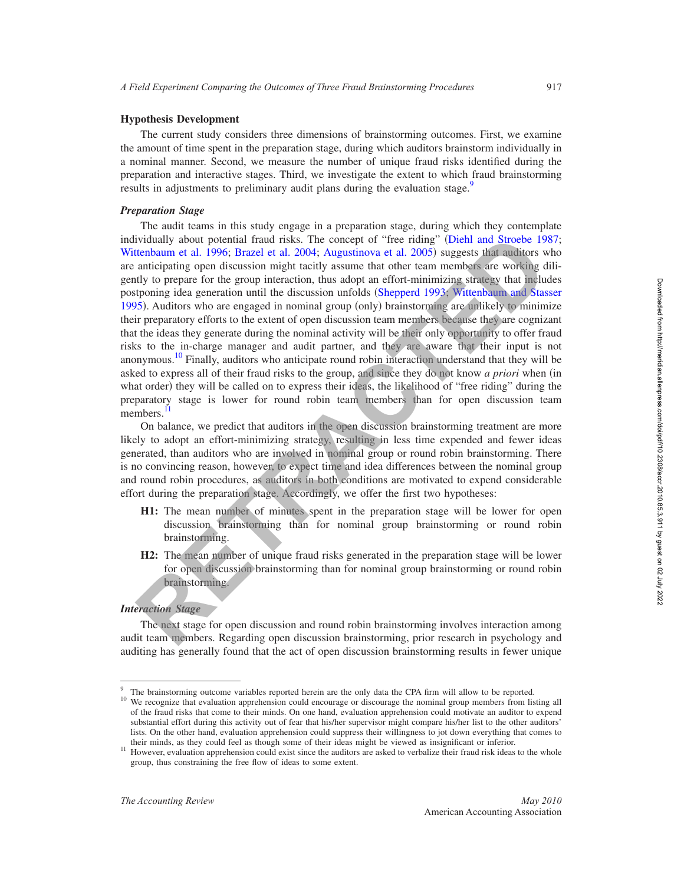#### **Hypothesis Development**

The current study considers three dimensions of brainstorming outcomes. First, we examine the amount of time spent in the preparation stage, during which auditors brainstorm individually in a nominal manner. Second, we measure the number of unique fraud risks identified during the preparation and interactive stages. Third, we investigate the extent to which fraud brainstorming results in adjustments to preliminary audit plans during the evaluation stage.<sup>9</sup>

#### *Preparation Stage*

The audit teams in this study engage in a preparation stage, during which they contemplate individually about potential fraud risks. The concept of "free riding" (Diehl and Stroebe 1987; Wittenbaum et al. 1996; Brazel et al. 2004; Augustinova et al. 2005) suggests that auditors who are anticipating open discussion might tacitly assume that other team members are working diligently to prepare for the group interaction, thus adopt an effort-minimizing strategy that includes postponing idea generation until the discussion unfolds Shepperd 1993; Wittenbaum and Stasser [1995](#page-24-3)). Auditors who are engaged in nominal group (only) brainstorming are unlikely to minimize their preparatory efforts to the extent of open discussion team members because they are cognizant that the ideas they generate during the nominal activity will be their only opportunity to offer fraud risks to the in-charge manager and audit partner, and they are aware that their input is not anonymous.<sup>10</sup> Finally, auditors who anticipate round robin interaction understand that they will be asked to express all of their fraud risks to the group, and since they do not know *a priori* when (in what order) they will be called on to express their ideas, the likelihood of "free riding" during the preparatory stage is lower for round robin team members than for open discussion team members.<sup>1</sup> ividually about potential franch risks. The concept of "the relating thothal sphere 19<br>
ividually about potential franching control in the same that other team interbed<br>
iten bann et al. 1996; Brazel et al. 2004; Augustino

On balance, we predict that auditors in the open discussion brainstorming treatment are more likely to adopt an effort-minimizing strategy, resulting in less time expended and fewer ideas generated, than auditors who are involved in nominal group or round robin brainstorming. There is no convincing reason, however, to expect time and idea differences between the nominal group and round robin procedures, as auditors in both conditions are motivated to expend considerable effort during the preparation stage. Accordingly, we offer the first two hypotheses:

- **H1:** The mean number of minutes spent in the preparation stage will be lower for open discussion brainstorming than for nominal group brainstorming or round robin brainstorming.
- **H2:** The mean number of unique fraud risks generated in the preparation stage will be lower for open discussion brainstorming than for nominal group brainstorming or round robin brainstorming.

#### *Interaction Stage*

<span id="page-6-0"></span>The next stage for open discussion and round robin brainstorming involves interaction among audit team members. Regarding open discussion brainstorming, prior research in psychology and auditing has generally found that the act of open discussion brainstorming results in fewer unique

<span id="page-6-2"></span>

<span id="page-6-1"></span><sup>&</sup>lt;sup>9</sup> The brainstorming outcome variables reported herein are the only data the CPA firm will allow to be reported.<br><sup>10</sup> We recognize that evaluation apprehension could encourage or discourage the nominal group members from of the fraud risks that come to their minds. On one hand, evaluation apprehension could motivate an auditor to expend substantial effort during this activity out of fear that his/her supervisor might compare his/her list to the other auditors' lists. On the other hand, evaluation apprehension could suppress their willingness to jot down everything that comes to their minds, as they could feel as though some of their ideas might be viewed as insignificant or infe

<sup>&</sup>lt;sup>11</sup> However, evaluation apprehension could exist since the auditors are asked to verbalize their fraud risk ideas to the whole group, thus constraining the free flow of ideas to some extent.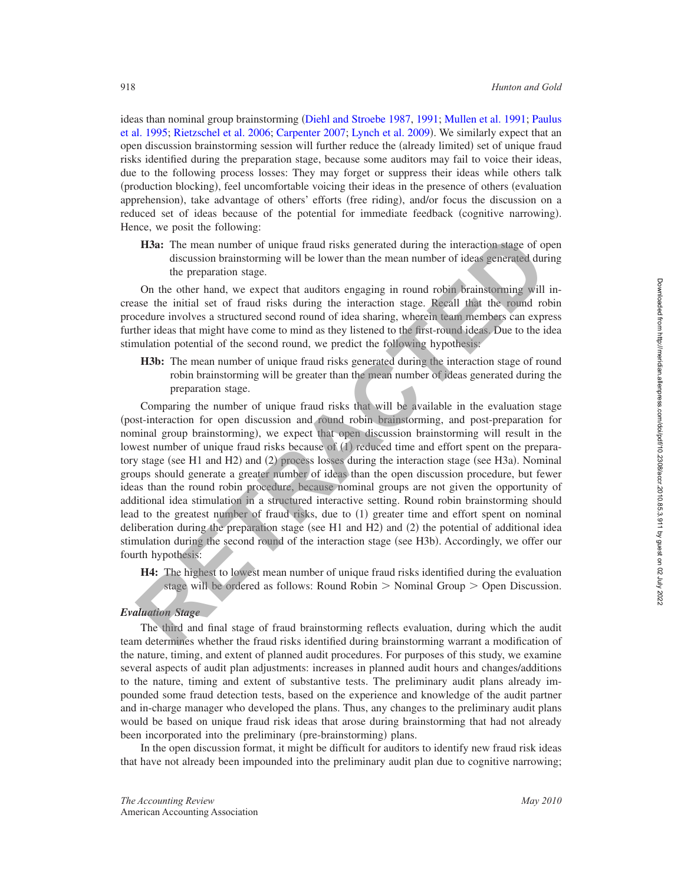ideas than nominal group brainstorming ([Diehl and Stroebe 1987,](#page-23-1) [1991;](#page-23-2) [Mullen et al. 1991;](#page-23-10) [Paulus](#page-23-12) [et al. 1995;](#page-23-12) [Rietzschel et al. 2006;](#page-23-14) [Carpenter 2007;](#page-22-4) [Lynch et al. 2009](#page-23-6)). We similarly expect that an open discussion brainstorming session will further reduce the (already limited) set of unique fraud risks identified during the preparation stage, because some auditors may fail to voice their ideas, due to the following process losses: They may forget or suppress their ideas while others talk (production blocking), feel uncomfortable voicing their ideas in the presence of others (evaluation apprehension), take advantage of others' efforts (free riding), and/or focus the discussion on a reduced set of ideas because of the potential for immediate feedback (cognitive narrowing). Hence, we posit the following:

**H3a:** The mean number of unique fraud risks generated during the interaction stage of open discussion brainstorming will be lower than the mean number of ideas generated during the preparation stage.

On the other hand, we expect that auditors engaging in round robin brainstorming will increase the initial set of fraud risks during the interaction stage. Recall that the round robin procedure involves a structured second round of idea sharing, wherein team members can express further ideas that might have come to mind as they listened to the first-round ideas. Due to the idea stimulation potential of the second round, we predict the following hypothesis:

**H3b:** The mean number of unique fraud risks generated during the interaction stage of round robin brainstorming will be greater than the mean number of ideas generated during the preparation stage.

Comparing the number of unique fraud risks that will be available in the evaluation stage post-interaction for open discussion and round robin brainstorming, and post-preparation for nominal group brainstorming), we expect that open discussion brainstorming will result in the lowest number of unique fraud risks because of (1) reduced time and effort spent on the preparatory stage (see H1 and H2) and (2) process losses during the interaction stage (see H3a). Nominal groups should generate a greater number of ideas than the open discussion procedure, but fewer ideas than the round robin procedure, because nominal groups are not given the opportunity of additional idea stimulation in a structured interactive setting. Round robin brainstorming should lead to the greatest number of fraud risks, due to (1) greater time and effort spent on nominal deliberation during the preparation stage (see H1 and H2) and (2) the potential of additional idea stimulation during the second round of the interaction stage (see H3b). Accordingly, we offer our fourth hypothesis: **H3a:** The mean number of unique fraud risks generated during the interaction stage of o<br>discussion brainstorming will be lower than the mean number of ideas generated dur<br>the preparation stage.<br>On the other hand, we expe

**H4:** The highest to lowest mean number of unique fraud risks identified during the evaluation stage will be ordered as follows: Round Robin  $>$  Nominal Group  $>$  Open Discussion.

#### *Evaluation Stage*

The third and final stage of fraud brainstorming reflects evaluation, during which the audit team determines whether the fraud risks identified during brainstorming warrant a modification of the nature, timing, and extent of planned audit procedures. For purposes of this study, we examine several aspects of audit plan adjustments: increases in planned audit hours and changes/additions to the nature, timing and extent of substantive tests. The preliminary audit plans already impounded some fraud detection tests, based on the experience and knowledge of the audit partner and in-charge manager who developed the plans. Thus, any changes to the preliminary audit plans would be based on unique fraud risk ideas that arose during brainstorming that had not already been incorporated into the preliminary (pre-brainstorming) plans.

In the open discussion format, it might be difficult for auditors to identify new fraud risk ideas that have not already been impounded into the preliminary audit plan due to cognitive narrowing;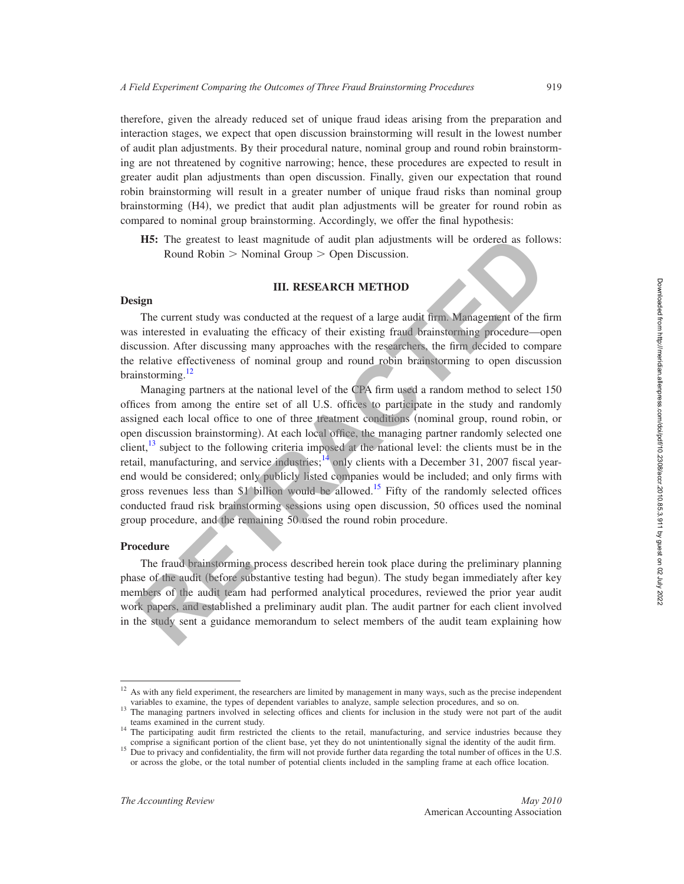therefore, given the already reduced set of unique fraud ideas arising from the preparation and interaction stages, we expect that open discussion brainstorming will result in the lowest number of audit plan adjustments. By their procedural nature, nominal group and round robin brainstorming are not threatened by cognitive narrowing; hence, these procedures are expected to result in greater audit plan adjustments than open discussion. Finally, given our expectation that round robin brainstorming will result in a greater number of unique fraud risks than nominal group brainstorming (H4), we predict that audit plan adjustments will be greater for round robin as compared to nominal group brainstorming. Accordingly, we offer the final hypothesis:

**H5:** The greatest to least magnitude of audit plan adjustments will be ordered as follows: Round Robin  $>$  Nominal Group  $>$  Open Discussion.

## **III. RESEARCH METHOD**

#### **Design**

The current study was conducted at the request of a large audit firm. Management of the firm was interested in evaluating the efficacy of their existing fraud brainstorming procedure—open discussion. After discussing many approaches with the researchers, the firm decided to compare the relative effectiveness of nominal group and round robin brainstorming to open discussion brainstorming. $12$ 

Managing partners at the national level of the CPA firm used a random method to select 150 offices from among the entire set of all U.S. offices to participate in the study and randomly assigned each local office to one of three treatment conditions (nominal group, round robin, or open discussion brainstorming). At each local office, the managing partner randomly selected one client,<sup>13</sup> subject to the following criteria imposed at the national level: the clients must be in the retail, manufacturing, and service industries; $14 \text{ only clients with a December 31, 2007 fiscal year}$ end would be considered; only publicly listed companies would be included; and only firms with gross revenues less than \$1 billion would be allowed.<sup>15</sup> Fifty of the randomly selected offices conducted fraud risk brainstorming sessions using open discussion, 50 offices used the nominal group procedure, and the remaining 50 used the round robin procedure. **H5:** The greatest to least magnitude of audit plan adjustments will be ordered as follo<br>
Round Robin > Nominal Group > Open Discussion.<br> **RET[RA](#page-8-2)RCH METHOD**<br> **RETRARCH METHOD**<br> **RETRARCH METHOD**<br> **RETRARCH METHOD**<br> **RETRARC** 

# **Procedure**

The fraud brainstorming process described herein took place during the preliminary planning phase of the audit (before substantive testing had begun). The study began immediately after key members of the audit team had performed analytical procedures, reviewed the prior year audit work papers, and established a preliminary audit plan. The audit partner for each client involved in the study sent a guidance memorandum to select members of the audit team explaining how

<span id="page-8-2"></span><span id="page-8-1"></span><span id="page-8-0"></span><sup>&</sup>lt;sup>12</sup> As with any field experiment, the researchers are limited by management in many ways, such as the precise independent variables to examine, the types of dependent variables to analyze, sample selection procedures, an

<span id="page-8-3"></span><sup>&</sup>lt;sup>13</sup> The managing partners involved in selecting offices and clients for inclusion in the study were not part of the audit

teams examined in the current study.<br><sup>14</sup> The participating audit firm restricted the clients to the retail, manufacturing, and service industries because they comprise a significant portion of the client base, yet they do

<sup>&</sup>lt;sup>15</sup> Due to privacy and confidentiality, the firm will not provide further data regarding the total number of offices in the U.S. or across the globe, or the total number of potential clients included in the sampling frame at each office location.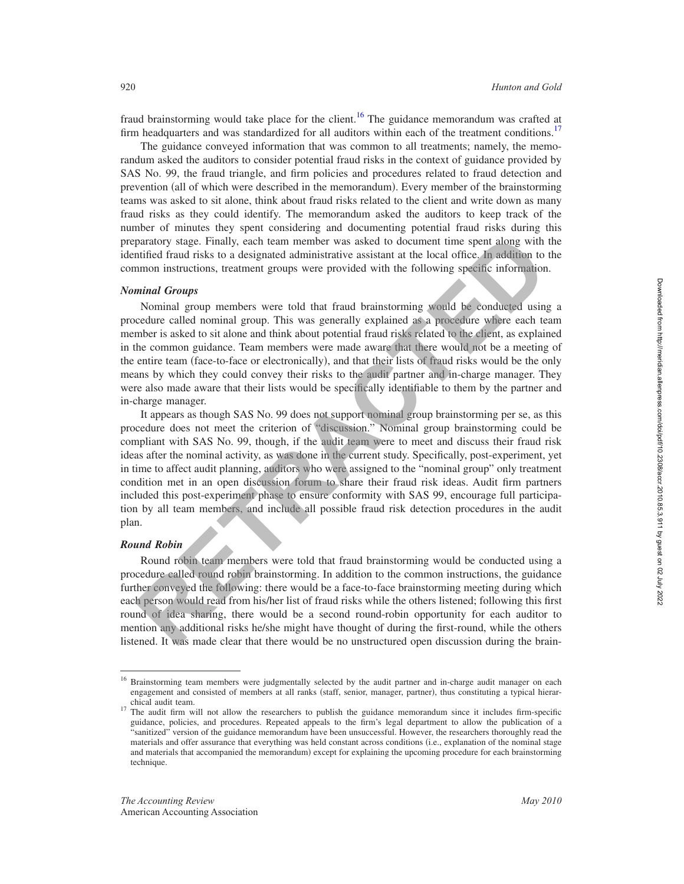fraud brainstorming would take place for the client.<sup>16</sup> The guidance memorandum was crafted at firm headquarters and was standardized for all auditors within each of the treatment conditions.<sup>[17](#page-9-1)</sup>

The guidance conveyed information that was common to all treatments; namely, the memorandum asked the auditors to consider potential fraud risks in the context of guidance provided by SAS No. 99, the fraud triangle, and firm policies and procedures related to fraud detection and prevention (all of which were described in the memorandum). Every member of the brainstorming teams was asked to sit alone, think about fraud risks related to the client and write down as many fraud risks as they could identify. The memorandum asked the auditors to keep track of the number of minutes they spent considering and documenting potential fraud risks during this preparatory stage. Finally, each team member was asked to document time spent along with the identified fraud risks to a designated administrative assistant at the local office. In addition to the common instructions, treatment groups were provided with the following specific information.

#### *Nominal Groups*

Nominal group members were told that fraud brainstorming would be conducted using a procedure called nominal group. This was generally explained as a procedure where each team member is asked to sit alone and think about potential fraud risks related to the client, as explained in the common guidance. Team members were made aware that there would not be a meeting of the entire team (face-to-face or electronically), and that their lists of fraud risks would be the only means by which they could convey their risks to the audit partner and in-charge manager. They were also made aware that their lists would be specifically identifiable to them by the partner and in-charge manager.

It appears as though SAS No. 99 does not support nominal group brainstorming per se, as this procedure does not meet the criterion of "discussion." Nominal group brainstorming could be compliant with SAS No. 99, though, if the audit team were to meet and discuss their fraud risk ideas after the nominal activity, as was done in the current study. Specifically, post-experiment, yet in time to affect audit planning, auditors who were assigned to the "nominal group" only treatment condition met in an open discussion forum to share their fraud risk ideas. Audit firm partners included this post-experiment phase to ensure conformity with SAS 99, encourage full participation by all team members, and include all possible fraud risk detection procedures in the audit plan. paratory stage. Finally, each team member was asked to document time spent along with<br>thifed frand risks to a designated administrative assistant at the local office. In addition<br>timen instructions, teaternal groups were p

#### *Round Robin*

Round robin team members were told that fraud brainstorming would be conducted using a procedure called round robin brainstorming. In addition to the common instructions, the guidance further conveyed the following: there would be a face-to-face brainstorming meeting during which each person would read from his/her list of fraud risks while the others listened; following this first round of idea sharing, there would be a second round-robin opportunity for each auditor to mention any additional risks he/she might have thought of during the first-round, while the others listened. It was made clear that there would be no unstructured open discussion during the brain-

<span id="page-9-1"></span><span id="page-9-0"></span><sup>&</sup>lt;sup>16</sup> Brainstorming team members were judgmentally selected by the audit partner and in-charge audit manager on each engagement and consisted of members at all ranks (staff, senior, manager, partner), thus constituting a typical hierar-

<sup>&</sup>lt;sup>17</sup> The audit firm will not allow the researchers to publish the guidance memorandum since it includes firm-specific  $\frac{1}{2}$ guidance, policies, and procedures. Repeated appeals to the firm's legal department to allow the publication of a "sanitized" version of the guidance memorandum have been unsuccessful. However, the researchers thoroughly read the materials and offer assurance that everything was held constant across conditions (i.e., explanation of the nominal stage and materials that accompanied the memorandum) except for explaining the upcoming procedure for each brainstorming technique.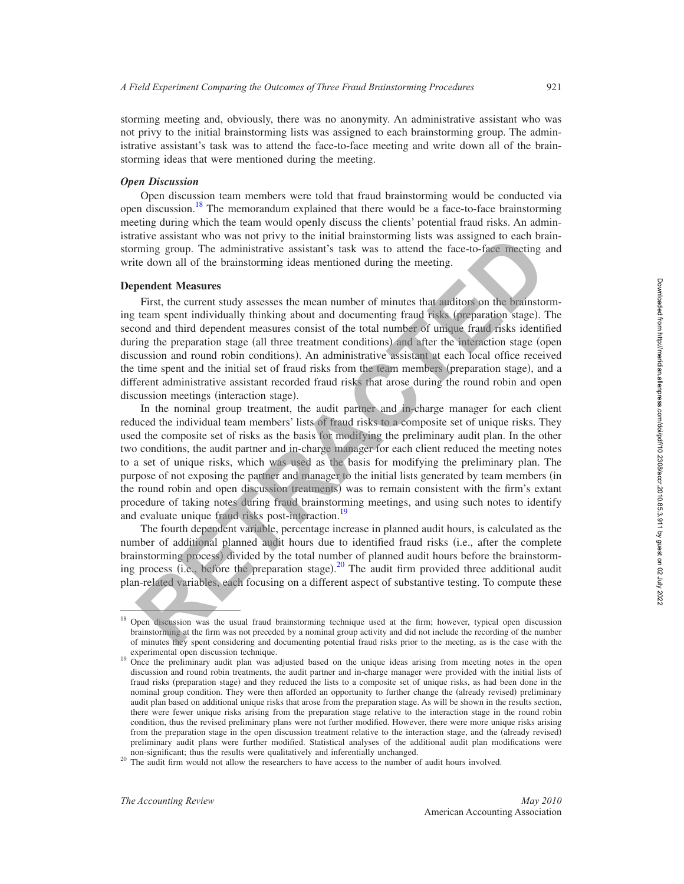storming meeting and, obviously, there was no anonymity. An administrative assistant who was not privy to the initial brainstorming lists was assigned to each brainstorming group. The administrative assistant's task was to attend the face-to-face meeting and write down all of the brainstorming ideas that were mentioned during the meeting.

#### *Open Discussion*

Open discussion team members were told that fraud brainstorming would be conducted via open discussion.<sup>18</sup> The memorandum explained that there would be a face-to-face brainstorming meeting during which the team would openly discuss the clients' potential fraud risks. An administrative assistant who was not privy to the initial brainstorming lists was assigned to each brainstorming group. The administrative assistant's task was to attend the face-to-face meeting and write down all of the brainstorming ideas mentioned during the meeting.

#### **Dependent Measures**

First, the current study assesses the mean number of minutes that auditors on the brainstorming team spent individually thinking about and documenting fraud risks (preparation stage). The second and third dependent measures consist of the total number of unique fraud risks identified during the preparation stage (all three treatment conditions) and after the interaction stage (open discussion and round robin conditions). An administrative assistant at each local office received the time spent and the initial set of fraud risks from the team members (preparation stage), and a different administrative assistant recorded fraud risks that arose during the round robin and open discussion meetings (interaction stage).

In the nominal group treatment, the audit partner and in-charge manager for each client reduced the individual team members' lists of fraud risks to a composite set of unique risks. They used the composite set of risks as the basis for modifying the preliminary audit plan. In the other two conditions, the audit partner and in-charge manager for each client reduced the meeting notes to a set of unique risks, which was used as the basis for modifying the preliminary plan. The purpose of not exposing the partner and manager to the initial lists generated by team members in the round robin and open discussion treatments) was to remain consistent with the firm's extant procedure of taking notes during fraud brainstorming meetings, and using such notes to identify and evaluate unique fraud risks post-interaction.<sup>19</sup> attwe assistant who was not privy to the mitul brancatoming lists was assigned to each brancatomic<br>triming group. The administrative assistant's task was to attend the face-to-face meeting<br>reming group. The administrative

The fourth dependent variable, percentage increase in planned audit hours, is calculated as the number of additional planned audit hours due to identified fraud risks (i.e., after the complete brainstorming process) divided by the total number of planned audit hours before the brainstorming process (i.e., before the preparation stage).<sup>20</sup> The audit firm provided three additional audit plan-related variables, each focusing on a different aspect of substantive testing. To compute these

<span id="page-10-1"></span><span id="page-10-0"></span><sup>&</sup>lt;sup>18</sup> Open discussion was the usual fraud brainstorming technique used at the firm; however, typical open discussion brainstorming at the firm was not preceded by a nominal group activity and did not include the recording of the number of minutes they spent considering and documenting potential fraud risks prior to the meeting, as is the case with the

experimental open discussion technique.<br><sup>19</sup> Once the preliminary audit plan was adjusted based on the unique ideas arising from meeting notes in the open discussion and round robin treatments, the audit partner and in-charge manager were provided with the initial lists of fraud risks (preparation stage) and they reduced the lists to a composite set of unique risks, as had been done in the nominal group condition. They were then afforded an opportunity to further change the (already revised) preliminary audit plan based on additional unique risks that arose from the preparation stage. As will be shown in the results section, there were fewer unique risks arising from the preparation stage relative to the interaction stage in the round robin condition, thus the revised preliminary plans were not further modified. However, there were more unique risks arising from the preparation stage in the open discussion treatment relative to the interaction stage, and the (already revised) preliminary audit plans were further modified. Statistical analyses of the additional audit plan modifications were

<span id="page-10-2"></span>non-significant; thus the results were qualitatively and inferentially unchanged. 20 The audit firm would not allow the researchers to have access to the number of audit hours involved.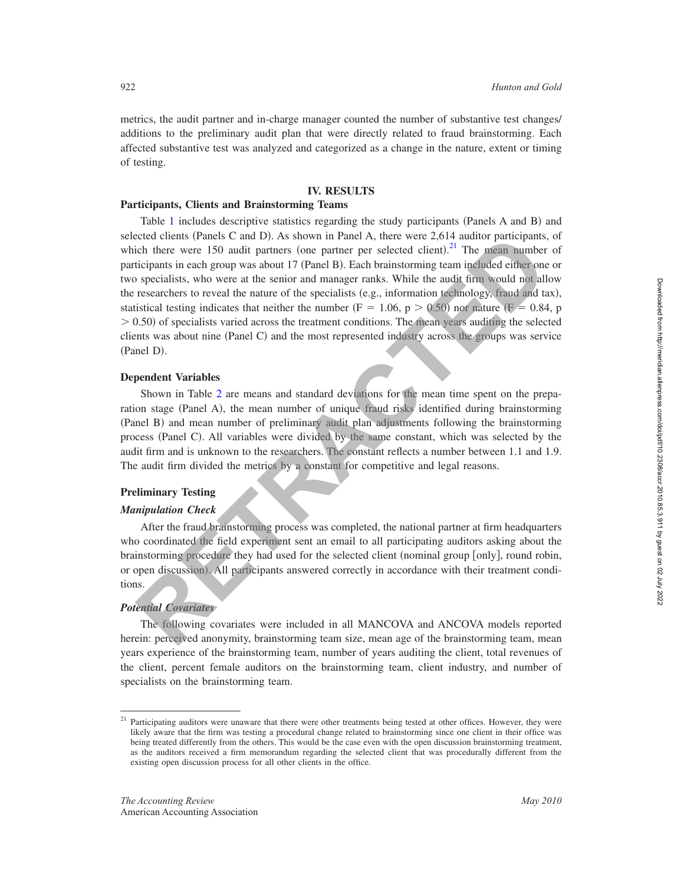metrics, the audit partner and in-charge manager counted the number of substantive test changes/ additions to the preliminary audit plan that were directly related to fraud brainstorming. Each affected substantive test was analyzed and categorized as a change in the nature, extent or timing of testing.

# **IV. RESULTS**

# **Participants, Clients and Brainstorming Teams**

Table [1](#page-12-0) includes descriptive statistics regarding the study participants (Panels A and B) and selected clients (Panels C and D). As shown in Panel A, there were 2,614 auditor participants, of which there were 150 audit partners (one partner per selected client). $^{21}$  The mean number of participants in each group was about 17 (Panel B). Each brainstorming team included either one or two specialists, who were at the senior and manager ranks. While the audit firm would not allow the researchers to reveal the nature of the specialists (e.g., information technology, fraud and tax), statistical testing indicates that neither the number ( $F = 1.06$ ,  $p > 0.50$ ) nor nature ( $F = 0.84$ , p  $> 0.50$ ) of specialists varied across the treatment conditions. The mean years auditing the selected clients was about nine (Panel C) and the most represented industry across the groups was service (Panel D). cient list Venales C and 1). As shown in Panel A, there were 2,614 audior particupants<br>cich cheme were 150 audit partners (one partner per selected clien).<sup>21</sup> The mean number<br>ticipants in each group was about 17 (Panel B

#### **Dependent Variables**

Shown in Table 2 are means and standard deviations for the mean time spent on the preparation stage (Panel A), the mean number of unique fraud risks identified during brainstorming (Panel B) and mean number of preliminary audit plan adjustments following the brainstorming process (Panel C). All variables were divided by the same constant, which was selected by the audit firm and is unknown to the researchers. The constant reflects a number between 1.1 and 1.9. The audit firm divided the metrics by a constant for competitive and legal reasons.

# **Preliminary Testing**

#### *Manipulation Check*

After the fraud brainstorming process was completed, the national partner at firm headquarters who coordinated the field experiment sent an email to all participating auditors asking about the brainstorming procedure they had used for the selected client (nominal group  $\lceil \text{only} \rceil$ , round robin, or open discussion). All participants answered correctly in accordance with their treatment conditions.

# *Potential Covariates*

The following covariates were included in all MANCOVA and ANCOVA models reported herein: perceived anonymity, brainstorming team size, mean age of the brainstorming team, mean years experience of the brainstorming team, number of years auditing the client, total revenues of the client, percent female auditors on the brainstorming team, client industry, and number of specialists on the brainstorming team.

Downloaded from http://meridian.allenpress.com/doi/pdf/10.2308/accr.2010.85.3.911 by guest on 02 July 2022 Downloaded from http://meridian.allenpress.com/doi/pdf/10.2308/accr.2010.85.3.911 by guest on 02 July 2022

<span id="page-11-0"></span><sup>&</sup>lt;sup>21</sup> Participating auditors were unaware that there were other treatments being tested at other offices. However, they were likely aware that the firm was testing a procedural change related to brainstorming since one client in their office was being treated differently from the others. This would be the case even with the open discussion brainstorming treatment, as the auditors received a firm memorandum regarding the selected client that was procedurally different from the existing open discussion process for all other clients in the office.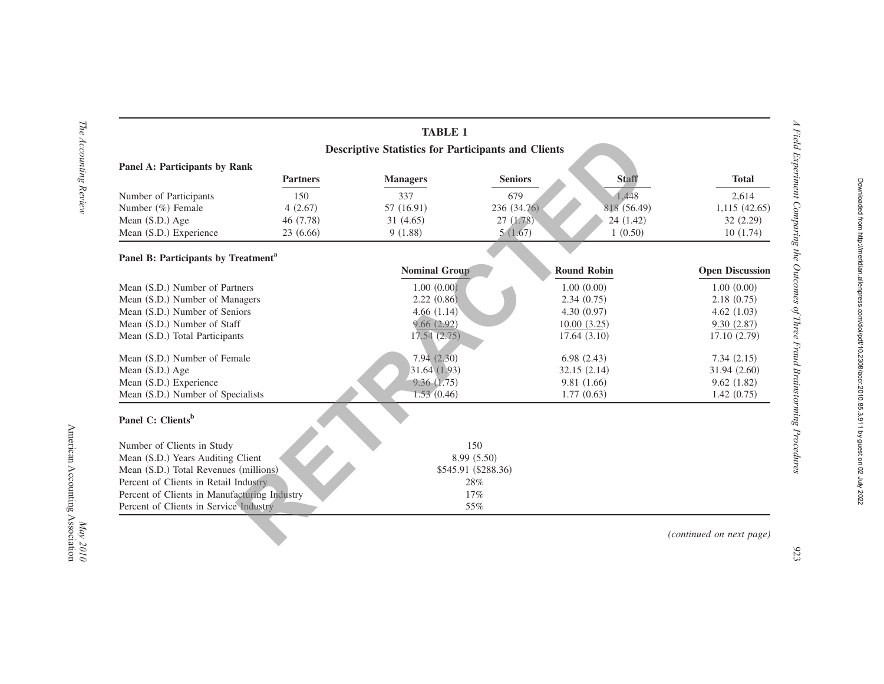| <b>TABLE 1</b><br><b>Descriptive Statistics for Participants and Clients</b> |                     |                      |                           |                    |                          |  |  |
|------------------------------------------------------------------------------|---------------------|----------------------|---------------------------|--------------------|--------------------------|--|--|
| Panel A: Participants by Rank                                                |                     |                      |                           |                    |                          |  |  |
|                                                                              | <b>Partners</b>     | <b>Managers</b>      | <b>Seniors</b>            | <b>Staff</b>       | <b>Total</b>             |  |  |
| Number of Participants                                                       | 150                 | 337                  | 679                       | 1,448              | 2,614                    |  |  |
| Number (%) Female                                                            | 4(2.67)             | 57 (16.91)           | 236 (34.76)               | 818 (56.49)        | 1,115(42.65)             |  |  |
| Mean (S.D.) Age                                                              | 46(7.78)            | 31(4.65)             | 27(1.78)                  | 24(1.42)           | 32(2.29)                 |  |  |
| Mean (S.D.) Experience                                                       | 23(6.66)            | 9(1.88)              | 5(1.67)                   | 1(0.50)            | 10(1.74)                 |  |  |
| Panel B: Participants by Treatment <sup>a</sup>                              |                     |                      |                           |                    |                          |  |  |
|                                                                              |                     | <b>Nominal Group</b> |                           | <b>Round Robin</b> | <b>Open Discussion</b>   |  |  |
| Mean (S.D.) Number of Partners                                               |                     | 1.00(0.00)           |                           | 1.00(0.00)         | 1.00(0.00)               |  |  |
| Mean (S.D.) Number of Managers                                               |                     | 2.22(0.86)           |                           | 2.34(0.75)         | 2.18(0.75)               |  |  |
| Mean (S.D.) Number of Seniors                                                |                     | 4.66(1.14)           |                           | 4.30(0.97)         | 4.62(1.03)               |  |  |
| Mean (S.D.) Number of Staff                                                  |                     | 9.66(2.92)           |                           | 10.00(3.25)        | 9.30(2.87)               |  |  |
| Mean (S.D.) Total Participants                                               | 17.54(2.75)         |                      | 17.64(3.10)               | 17.10(2.79)        |                          |  |  |
| Mean (S.D.) Number of Female                                                 |                     |                      | 7.94(2.30)                |                    | 7.34(2.15)               |  |  |
| Mean (S.D.) Age                                                              | 31.64(1.93)         |                      | 6.98(2.43)<br>32.15(2.14) | 31.94(2.60)        |                          |  |  |
| Mean (S.D.) Experience                                                       | 9.36(1.75)          |                      | 9.81(1.66)                | 9.62(1.82)         |                          |  |  |
| Mean (S.D.) Number of Specialists                                            |                     | 1.53(0.46)           |                           | 1.77(0.63)         | 1.42(0.75)               |  |  |
| Panel C: Clients <sup>b</sup>                                                |                     |                      |                           |                    |                          |  |  |
| Number of Clients in Study                                                   |                     |                      | 150                       |                    |                          |  |  |
| Mean (S.D.) Years Auditing Client                                            | 8.99 (5.50)         |                      |                           |                    |                          |  |  |
| Mean (S.D.) Total Revenues (millions)                                        | \$545.91 (\$288.36) |                      |                           |                    |                          |  |  |
| Percent of Clients in Retail Industry                                        |                     | 28%                  |                           |                    |                          |  |  |
| Percent of Clients in Manufacturing Industry                                 |                     | 17%                  |                           |                    |                          |  |  |
| Percent of Clients in Service Industry<br>55%                                |                     |                      |                           |                    |                          |  |  |
|                                                                              |                     |                      |                           |                    | (continued on next page) |  |  |

<span id="page-12-0"></span>The  ${\cal A}$ ccounting Review

*A Field Experiment Comparing the Outcomes of Three Fraud Brainstorming Procedures*

A Field Experiment Comparing the Outcomes of Three Fraud Brainstorming Procedures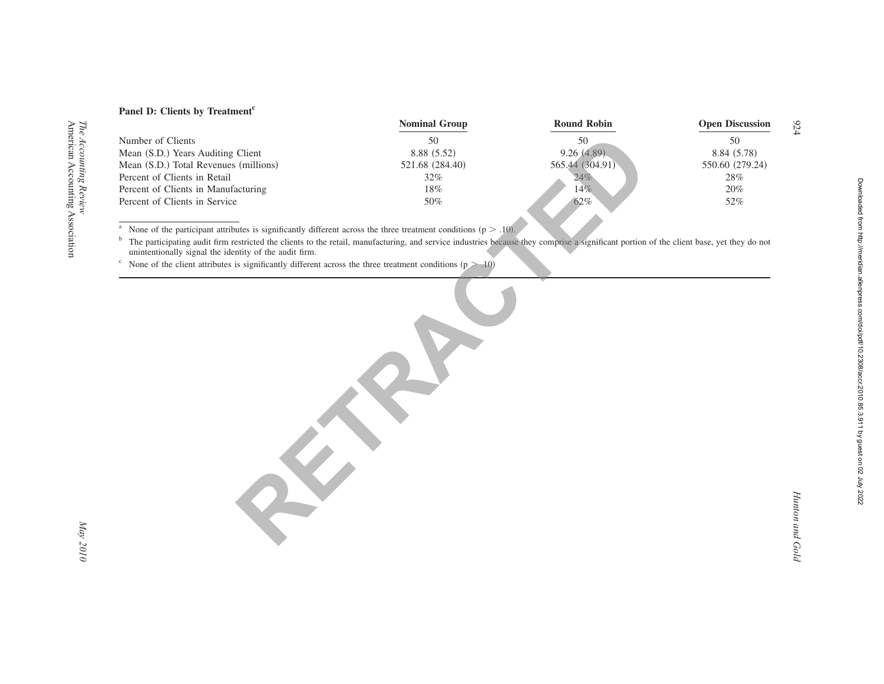# **Panel D: Clients by Treatment<sup>c</sup>**

|                                                                                                                                                                                                                                                                                                                                                                                    | <b>Nominal Group</b> | <b>Round Robin</b> | <b>Open Discussion</b> |
|------------------------------------------------------------------------------------------------------------------------------------------------------------------------------------------------------------------------------------------------------------------------------------------------------------------------------------------------------------------------------------|----------------------|--------------------|------------------------|
| Number of Clients                                                                                                                                                                                                                                                                                                                                                                  | 50                   | 50                 | 50                     |
| Mean (S.D.) Years Auditing Client                                                                                                                                                                                                                                                                                                                                                  | 8.88 (5.52)          | 9.26(4.89)         | 8.84 (5.78)            |
| Mean (S.D.) Total Revenues (millions)                                                                                                                                                                                                                                                                                                                                              | 521.68 (284.40)      | 565.44 (304.91)    | 550.60 (279.24)        |
| Percent of Clients in Retail                                                                                                                                                                                                                                                                                                                                                       | 32%                  | 24%                | 28%                    |
| Percent of Clients in Manufacturing                                                                                                                                                                                                                                                                                                                                                | 18%                  | 14%                | 20%                    |
| Percent of Clients in Service                                                                                                                                                                                                                                                                                                                                                      | 50%                  | 62%                | 52%                    |
|                                                                                                                                                                                                                                                                                                                                                                                    |                      |                    |                        |
| None of the participant attributes is significantly different across the three treatment conditions ( $p > .10$ ).                                                                                                                                                                                                                                                                 |                      |                    |                        |
| The participating audit firm restricted the clients to the retail, manufacturing, and service industries because they comprise a significant portion of the client base, yet they do not<br>unintentionally signal the identity of the audit firm.<br>None of the client attributes is significantly different across the three treatment conditions ( $p > -10$ )<br>$\mathbf{c}$ |                      |                    |                        |
|                                                                                                                                                                                                                                                                                                                                                                                    |                      |                    |                        |
|                                                                                                                                                                                                                                                                                                                                                                                    |                      |                    |                        |
|                                                                                                                                                                                                                                                                                                                                                                                    |                      |                    |                        |
|                                                                                                                                                                                                                                                                                                                                                                                    |                      |                    |                        |
|                                                                                                                                                                                                                                                                                                                                                                                    |                      |                    |                        |
|                                                                                                                                                                                                                                                                                                                                                                                    |                      |                    |                        |
|                                                                                                                                                                                                                                                                                                                                                                                    |                      |                    |                        |
|                                                                                                                                                                                                                                                                                                                                                                                    |                      |                    |                        |
|                                                                                                                                                                                                                                                                                                                                                                                    |                      |                    |                        |
|                                                                                                                                                                                                                                                                                                                                                                                    |                      |                    |                        |
|                                                                                                                                                                                                                                                                                                                                                                                    |                      |                    |                        |
|                                                                                                                                                                                                                                                                                                                                                                                    |                      |                    |                        |
|                                                                                                                                                                                                                                                                                                                                                                                    |                      |                    |                        |
|                                                                                                                                                                                                                                                                                                                                                                                    |                      |                    |                        |
|                                                                                                                                                                                                                                                                                                                                                                                    |                      |                    |                        |
|                                                                                                                                                                                                                                                                                                                                                                                    |                      |                    |                        |
|                                                                                                                                                                                                                                                                                                                                                                                    |                      |                    |                        |
|                                                                                                                                                                                                                                                                                                                                                                                    |                      |                    |                        |
|                                                                                                                                                                                                                                                                                                                                                                                    |                      |                    |                        |
|                                                                                                                                                                                                                                                                                                                                                                                    |                      |                    |                        |

Downloaded from http://meridian.allenpress.com/doi/pdf/10.2308/accr.2010.85.3.911 by guest on 02 July 2022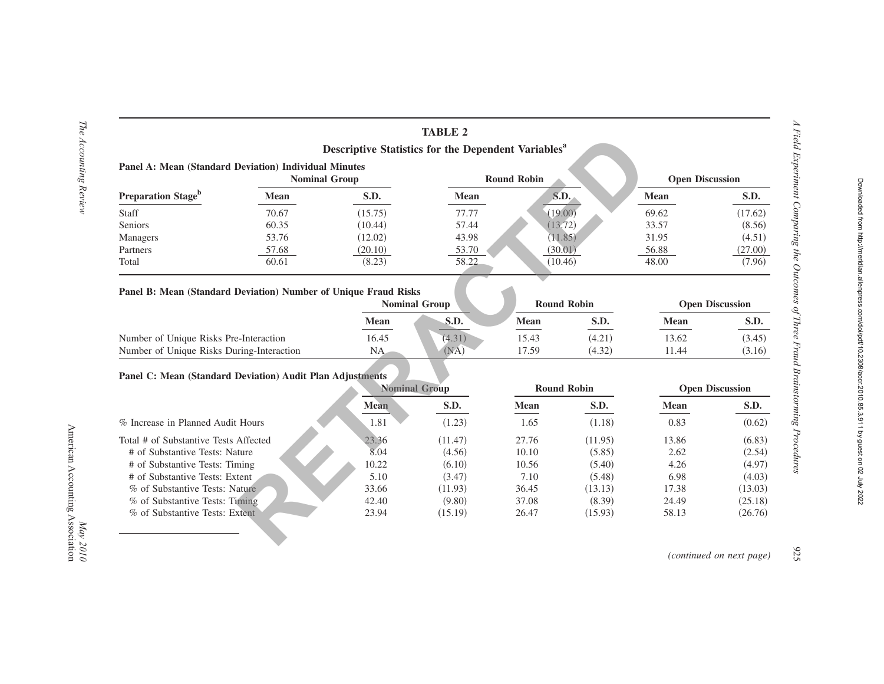|  |  | Downloaded from http://meridian.allenpress.com/doi/pdf/10.2308/accr.2010.85.3.911 by guest on 02 July 2022 |  |
|--|--|------------------------------------------------------------------------------------------------------------|--|
|  |  |                                                                                                            |  |

*A Field Experiment Comparing the Outcomes of Three Fraud Brainstorming Procedures*

A Field Experiment Comparing the Outcomes of Three Fraud Brainstorming Procedures

<span id="page-14-0"></span>

|                                                                               |       |             | <b>TABLE 2</b>                                                         |             |                    |                        |                        |  |
|-------------------------------------------------------------------------------|-------|-------------|------------------------------------------------------------------------|-------------|--------------------|------------------------|------------------------|--|
|                                                                               |       |             | <b>Descriptive Statistics for the Dependent Variables</b> <sup>a</sup> |             |                    |                        |                        |  |
| Panel A: Mean (Standard Deviation) Individual Minutes<br><b>Nominal Group</b> |       |             |                                                                        |             | <b>Round Robin</b> |                        | <b>Open Discussion</b> |  |
| Preparation Stage <sup>b</sup><br>Mean                                        |       | S.D.        | <b>Mean</b>                                                            |             | <b>S.D.</b>        |                        | S.D.                   |  |
| Staff                                                                         | 70.67 | (15.75)     | 77.77                                                                  | (19.00)     |                    | 69.62                  | (17.62)                |  |
| Seniors                                                                       | 60.35 | (10.44)     | 57.44                                                                  | (13.72)     |                    | 33.57                  | (8.56)                 |  |
| Managers                                                                      | 53.76 | (12.02)     | 43.98                                                                  |             | (11.85)            | 31.95                  | (4.51)                 |  |
| Partners                                                                      | 57.68 | (20.10)     | 53.70                                                                  | (30.01)     |                    | 56.88                  | (27.00)                |  |
| Total                                                                         | 60.61 | (8.23)      | 58.22                                                                  |             | (10.46)            | 48.00                  | (7.96)                 |  |
|                                                                               |       |             |                                                                        |             |                    |                        |                        |  |
| Panel B: Mean (Standard Deviation) Number of Unique Fraud Risks               |       |             |                                                                        |             |                    |                        |                        |  |
|                                                                               |       |             | <b>Nominal Group</b>                                                   |             | <b>Round Robin</b> | <b>Open Discussion</b> |                        |  |
|                                                                               |       | <b>Mean</b> | S.D.                                                                   | <b>Mean</b> | S.D.               | Mean                   | S.D.                   |  |
| Number of Unique Risks Pre-Interaction                                        |       | 16.45       | (4.31)                                                                 | 15.43       | (4.21)             | 13.62                  | (3.45)                 |  |
| Number of Unique Risks During-Interaction                                     |       | <b>NA</b>   | (NA)                                                                   | 17.59       | (4.32)             | 11.44                  | (3.16)                 |  |
|                                                                               |       |             |                                                                        |             |                    |                        |                        |  |
| Panel C: Mean (Standard Deviation) Audit Plan Adjustments                     |       |             | <b>Nominal Group</b>                                                   |             | <b>Round Robin</b> |                        | <b>Open Discussion</b> |  |
|                                                                               |       | <b>Mean</b> | S.D.                                                                   | <b>Mean</b> |                    | <b>Mean</b>            | S.D.                   |  |
|                                                                               |       |             |                                                                        |             | S.D.               |                        |                        |  |
| % Increase in Planned Audit Hours                                             |       | 1.81        | (1.23)                                                                 | 1.65        | (1.18)             | 0.83                   | (0.62)                 |  |
| Total # of Substantive Tests Affected                                         |       | 23.36       | (11.47)                                                                | 27.76       | (11.95)            | 13.86                  | (6.83)                 |  |
| # of Substantive Tests: Nature                                                |       | 8.04        | (4.56)                                                                 | 10.10       | (5.85)             | 2.62                   | (2.54)                 |  |
| # of Substantive Tests: Timing                                                |       | 10.22       | (6.10)                                                                 | 10.56       | (5.40)             | 4.26                   | (4.97)                 |  |
| # of Substantive Tests: Extent                                                |       | 5.10        | (3.47)                                                                 | 7.10        | (5.48)             | 6.98                   | (4.03)                 |  |
| % of Substantive Tests: Nature                                                |       | 33.66       | (11.93)                                                                | 36.45       | (13.13)            | 17.38                  | (13.03)                |  |
| % of Substantive Tests: Timing                                                |       | 42.40       | (9.80)                                                                 | 37.08       | (8.39)             | 24.49                  | (25.18)                |  |
| % of Substantive Tests: Extent                                                |       | 23.94       | (15.19)                                                                | 26.47       | (15.93)            | 58.13                  | (26.76)                |  |
|                                                                               |       |             |                                                                        |             |                    |                        |                        |  |
|                                                                               |       |             |                                                                        |             |                    |                        |                        |  |

*(continued on next page)* 925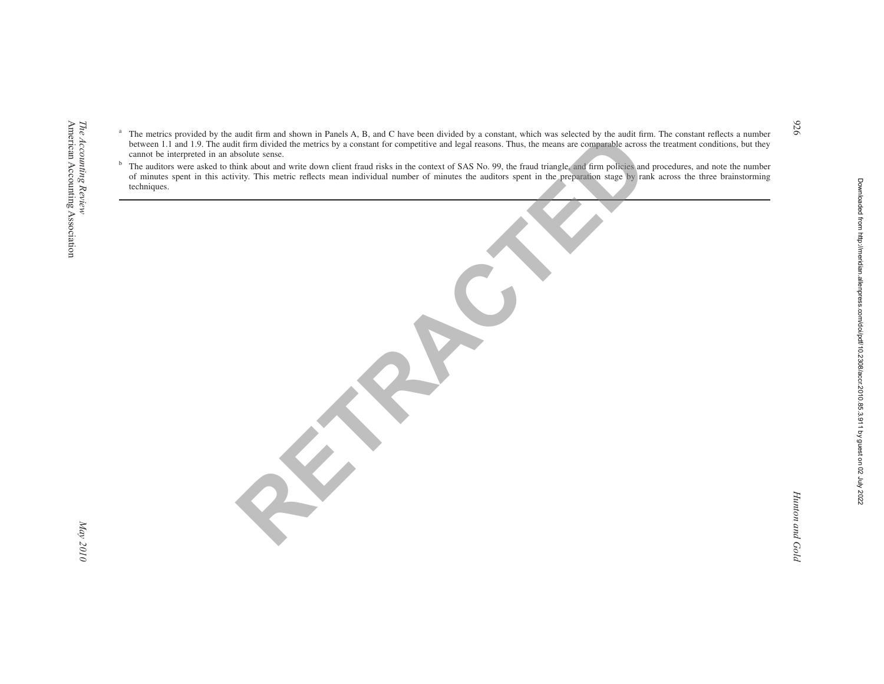- a The metrics provided by the audit firm and shown in Panels A, B, and C have been divided by <sup>a</sup> constant, which was selected by the audit firm. The constant reflects <sup>a</sup> number between 1.1 and 1.9. The audit firm divided the metrics by a constant for competitive and legal reasons. Thus, the means are comparable across the treatment conditions, but they cannot be interpreted in an absolute sense.
- bThe auditors were asked to think about and write down client fraud risks in the context of SAS No. 99, the fraud triangle, and firm policies and procedures, and note the number of minutes spen<sup>t</sup> in this activity. This metric reflects mean individual number of minutes the auditors spen<sup>t</sup> in the preparation stage by rank across the three brainstorming techniques. and the main states we constant for competitive and legal reasons. Thus, the means are comparable across bout<br>in it firm divided the metric sty, a constant for competitive and legal reasons. Thus, the means are comparable

Hunton and Gold *Hunton and Gold*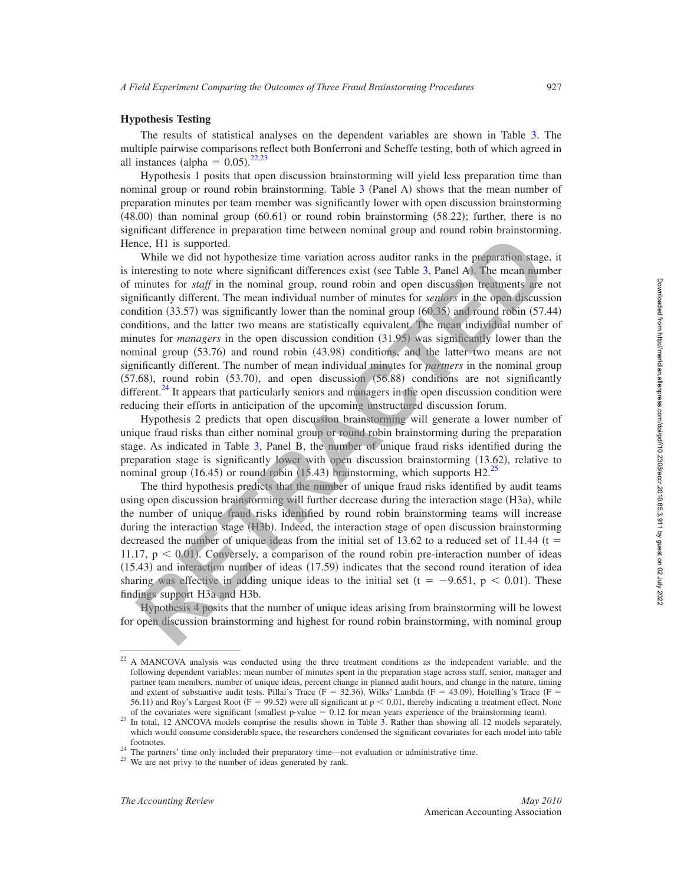#### **Hypothesis Testing**

The results of statistical analyses on the dependent variables are shown in Table [3.](#page-17-0) The multiple pairwise comparisons reflect both Bonferroni and Scheffe testing, both of which agreed in all instances (alpha =  $0.05$ ).<sup>[22](#page-16-0)[,23](#page-16-1)</sup>

Hypothesis 1 posits that open discussion brainstorming will yield less preparation time than nominal group or round robin brainstorming. Table [3](#page-17-0) (Panel A) shows that the mean number of preparation minutes per team member was significantly lower with open discussion brainstorming  $(48.00)$  than nominal group  $(60.61)$  or round robin brainstorming  $(58.22)$ ; further, there is no significant difference in preparation time between nominal group and round robin brainstorming. Hence, H1 is supported.

While we did not hypothesize time variation across auditor ranks in the preparation stage, it is interesting to note where significant differences exist (see Table 3, Panel A). The mean number of minutes for *staff* in the nominal group, round robin and open discussion treatments are not significantly different. The mean individual number of minutes for *seniors* in the open discussion condition  $(33.57)$  was significantly lower than the nominal group  $(60.35)$  and round robin  $(57.44)$ conditions, and the latter two means are statistically equivalent. The mean individual number of minutes for *managers* in the open discussion condition (31.95) was significantly lower than the nominal group (53.76) and round robin (43.98) conditions, and the latter two means are not significantly different. The number of mean individual minutes for *partners* in the nominal group  $(57.68)$ , round robin  $(53.70)$ , and open discussion  $(56.88)$  conditions are not significantly different.<sup>24</sup> It appears that particularly seniors and managers in the open discussion condition were reducing their efforts in anticipation of the upcoming unstructured discussion forum. home HI is supported.<br>
While we dd not hypothesize time variation across auditor ranks in the preparation stage<br>
While we dd not hypothesize time variation across auditor ranks in the preparation stage<br>
Interesting to not

Hypothesis 2 predicts that open discussion brainstorming will generate a lower number of unique fraud risks than either nominal group or round robin brainstorming during the preparation stage. As indicated in Table 3, Panel B, the number of unique fraud risks identified during the preparation stage is significantly lower with open discussion brainstorming (13.62), relative to nominal group  $(16.45)$  or round robin  $(15.43)$  brainstorming, which supports H2.<sup>25</sup>

The third hypothesis predicts that the number of unique fraud risks identified by audit teams using open discussion brainstorming will further decrease during the interaction stage (H3a), while the number of unique fraud risks identified by round robin brainstorming teams will increase during the interaction stage (H3b). Indeed, the interaction stage of open discussion brainstorming decreased the number of unique ideas from the initial set of 13.62 to a reduced set of 11.44 ( $t =$ 11.17,  $p < 0.01$ ). Conversely, a comparison of the round robin pre-interaction number of ideas (15.43) and interaction number of ideas (17.59) indicates that the second round iteration of idea sharing was effective in adding unique ideas to the initial set ( $t = -9.651$ ,  $p < 0.01$ ). These findings support H3a and H3b.

<span id="page-16-0"></span>Hypothesis 4 posits that the number of unique ideas arising from brainstorming will be lowest for open discussion brainstorming and highest for round robin brainstorming, with nominal group

<span id="page-16-1"></span><sup>&</sup>lt;sup>22</sup> A MANCOVA analysis was conducted using the three treatment conditions as the independent variable, and the following dependent variables: mean number of minutes spent in the preparation stage across staff, senior, manager and partner team members, number of unique ideas, percent change in planned audit hours, and change in the nature, timing and extent of substantive audit tests. Pillai's Trace  $(F = 32.36)$ , Wilks' Lambda  $(F = 43.09)$ , Hotelling's Trace  $(F = 32.36)$ 56.11) and Roy's Largest Root ( $F = 99.52$ ) were all significant at  $p < 0.01$ , thereby indicating a treatment effect. None of the covariates were significant (smallest p-value  $= 0.12$  for mean years experience of the brainstorming team)

<span id="page-16-3"></span><span id="page-16-2"></span><sup>&</sup>lt;sup>23</sup> In total, 12 ANCOVA models comprise the results shown in Table [3.](#page-17-0) Rather than showing all 12 models separately, which would consume considerable space, the researchers condensed the significant covariates for each model into table footnotes. <sup>24</sup> The partners' time only included their preparatory time—not evaluation or administrative time. <sup>25</sup> We are not privy to the number of ideas generated by rank.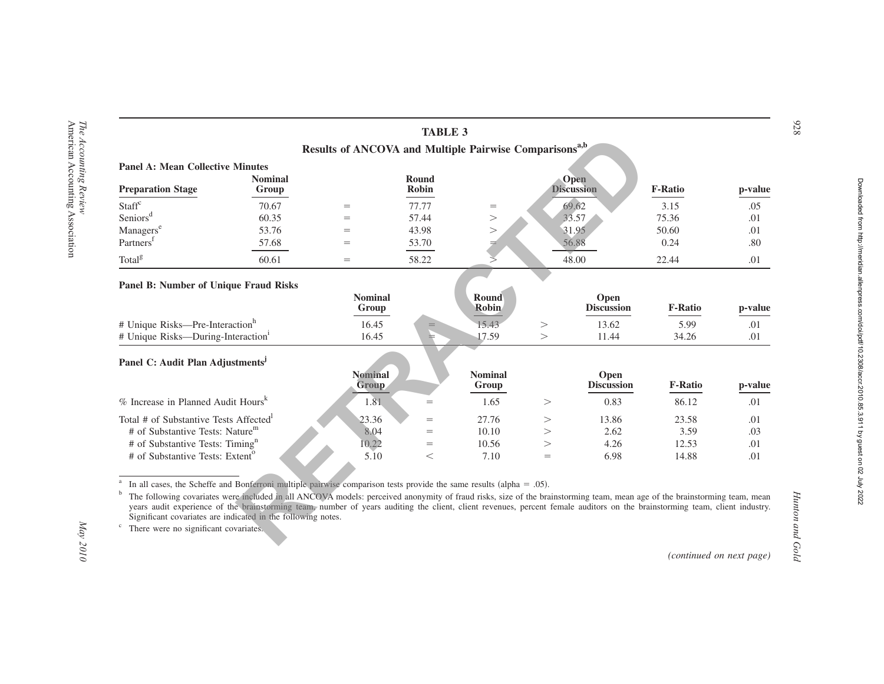<span id="page-17-0"></span>

|                                                                                                                                                                                                                                                                                                                                                                                                                                                                                                                                                                                          |                         |                                                                    | <b>TABLE 3</b>               |                         |          |                           |                |         |
|------------------------------------------------------------------------------------------------------------------------------------------------------------------------------------------------------------------------------------------------------------------------------------------------------------------------------------------------------------------------------------------------------------------------------------------------------------------------------------------------------------------------------------------------------------------------------------------|-------------------------|--------------------------------------------------------------------|------------------------------|-------------------------|----------|---------------------------|----------------|---------|
|                                                                                                                                                                                                                                                                                                                                                                                                                                                                                                                                                                                          |                         | Results of ANCOVA and Multiple Pairwise Comparisons <sup>a,b</sup> |                              |                         |          |                           |                |         |
| <b>Panel A: Mean Collective Minutes</b>                                                                                                                                                                                                                                                                                                                                                                                                                                                                                                                                                  |                         |                                                                    |                              |                         |          |                           |                |         |
| <b>Preparation Stage</b>                                                                                                                                                                                                                                                                                                                                                                                                                                                                                                                                                                 | <b>Nominal</b><br>Group |                                                                    | <b>Round</b><br><b>Robin</b> |                         |          | Open<br><b>Discussion</b> | <b>F-Ratio</b> | p-value |
| Staff <sup>c</sup>                                                                                                                                                                                                                                                                                                                                                                                                                                                                                                                                                                       | 70.67                   | $=$                                                                | 77.77                        | $=$                     |          | 69.62                     | 3.15           | .05     |
| Seniors <sup>d</sup>                                                                                                                                                                                                                                                                                                                                                                                                                                                                                                                                                                     | 60.35                   | $=$                                                                | 57.44                        | >                       |          | 33.57                     | 75.36          | .01     |
| Managers <sup>e</sup>                                                                                                                                                                                                                                                                                                                                                                                                                                                                                                                                                                    | 53.76                   | $=$                                                                | 43.98                        | >                       |          | 31.95                     | 50.60          | .01     |
| Partners <sup>1</sup>                                                                                                                                                                                                                                                                                                                                                                                                                                                                                                                                                                    | 57.68                   | $=$                                                                | 53.70                        |                         |          | 56.88                     | 0.24           | .80     |
| Total <sup>g</sup>                                                                                                                                                                                                                                                                                                                                                                                                                                                                                                                                                                       | 60.61                   | $=$                                                                | 58.22                        |                         |          | 48.00                     | 22.44          | .01     |
| Panel B: Number of Unique Fraud Risks                                                                                                                                                                                                                                                                                                                                                                                                                                                                                                                                                    |                         |                                                                    |                              |                         |          |                           |                |         |
|                                                                                                                                                                                                                                                                                                                                                                                                                                                                                                                                                                                          |                         | <b>Nominal</b><br>Group                                            |                              | Round<br>Robin          |          | Open<br><b>Discussion</b> | <b>F-Ratio</b> | p-value |
| # Unique Risks—Pre-Interaction <sup>h</sup>                                                                                                                                                                                                                                                                                                                                                                                                                                                                                                                                              |                         | 16.45                                                              | $=$                          | 15.43                   | >        | 13.62                     | 5.99           | .01     |
| # Unique Risks—During-Interaction <sup>1</sup>                                                                                                                                                                                                                                                                                                                                                                                                                                                                                                                                           |                         | 16.45                                                              | ≒                            | 17.59                   | >        | 11.44                     | 34.26          | .01     |
| Panel C: Audit Plan Adjustments <sup>J</sup>                                                                                                                                                                                                                                                                                                                                                                                                                                                                                                                                             |                         | <b>Nominal</b><br>Group                                            |                              | <b>Nominal</b><br>Group |          | Open<br><b>Discussion</b> | <b>F-Ratio</b> | p-value |
| % Increase in Planned Audit Hours <sup>k</sup>                                                                                                                                                                                                                                                                                                                                                                                                                                                                                                                                           |                         | 1.81                                                               | $=$                          | 1.65                    | >        | 0.83                      | 86.12          | .01     |
| Total # of Substantive Tests Affected <sup>1</sup>                                                                                                                                                                                                                                                                                                                                                                                                                                                                                                                                       |                         | 23.36                                                              | $=$                          | 27.76                   | >        | 13.86                     | 23.58          | .01     |
| # of Substantive Tests: Nature <sup>m</sup>                                                                                                                                                                                                                                                                                                                                                                                                                                                                                                                                              |                         | 8.04                                                               | $=$                          | 10.10                   | >        | 2.62                      | 3.59           | .03     |
| # of Substantive Tests: Timing <sup>n</sup>                                                                                                                                                                                                                                                                                                                                                                                                                                                                                                                                              |                         | 10.22                                                              | $=$                          | 10.56                   | $\rm{>}$ | 4.26                      | 12.53          | .01     |
| # of Substantive Tests: Extent <sup>o</sup>                                                                                                                                                                                                                                                                                                                                                                                                                                                                                                                                              |                         | 5.10                                                               | $\,<\,$                      | 7.10                    | $=$      | 6.98                      | 14.88          | .01     |
| In all cases, the Scheffe and Bonferroni multiple pairwise comparison tests provide the same results (alpha = .05).<br>The following covariates were included in all ANCOVA models: perceived anonymity of fraud risks, size of the brainstorming team, mean age of the brainstorming team, mean<br>years audit experience of the brainstorming team, number of years auditing the client, client revenues, percent female auditors on the brainstorming team, client industry.<br>Significant covariates are indicated in the following notes.<br>There were no significant covariates. |                         |                                                                    |                              |                         |          |                           |                |         |

Downloaded from http://meridian.allenpress.com/doi/pdf/10.2308/accr.2010.85.3.911 by guest on 02 July 2022

Downloaded from http://meridian.allenpress.com/doi/pdf/10.2308/accr.2010.85.3.911 by guest on 02 July 2022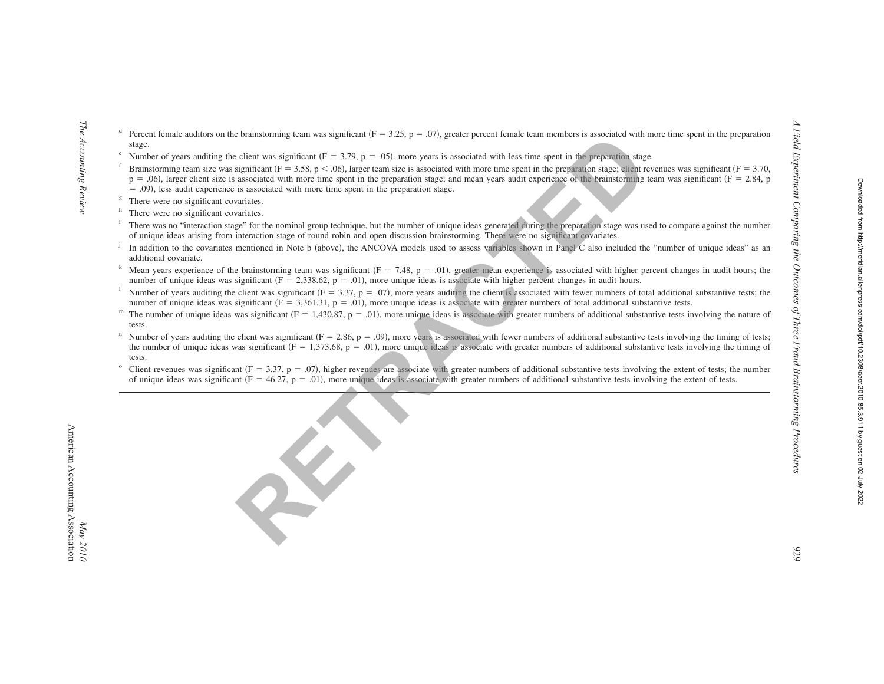d

- Percent female auditors on the brainstorming team was significant ( $F = 3.25$ ,  $p = .07$ ), greater percent female team members is associated with more time spent in the preparation stage.
- e<sup>e</sup> Number of years auditing the client was significant ( $F = 3.79$ ,  $p = .05$ ). more years is associated with less time spent in the preparation stage.
- fBrainstorming team size was significant ( $F = 3.58$ ,  $p < .06$ ), larger team size is associated with more time spent in the preparation stage; client revenues was significant ( $F = 3.70$ ,  $p = .06$ ), larger client size is associated with more time spent in the preparation stage; and mean years audit experience of the brainstorming team was significant ( $F = 2.84$ , p  $=$  .09), less audit experience is associated with more time spent in the preparation stage.
- There were no significant covariates.
- hThere were no significant covariates.
- iThere was no "interaction stage" for the nominal group technique, but the number of unique ideas generated during the preparation stage was used to compare against the number of unique ideas arising from interaction stage of round robin and open discussion brainstorming. There were no significant covariates.
- In addition to the covariates mentioned in Note b (above), the ANCOVA models used to assess variables shown in Panel C also included the "number of unique ideas" as an additional covariate.
- kMean years experience of the brainstorming team was significant ( $F = 7.48$ ,  $p = .01$ ), greater mean experience is associated with higher percent changes in audit hours; the number of unique ideas was significant  $(F = 2,338.62, p = .01)$ , more unique ideas is associate with higher percent changes in audit hours.
- Number of years auditing the client was significant ( $F = 3.37$ ,  $p = .07$ ), more years auditing the client is associated with fewer numbers of total additional substantive tests; the number of unique ideas was significant  $(F = 3,361.31, p = .01)$ , more unique ideas is associate with greater numbers of total additional substantive tests.
- <sup>m</sup> The number of unique ideas was significant ( $F = 1,430.87$ ,  $p = .01$ ), more unique ideas is associate with greater numbers of additional substantive tests involving the nature of tests.
- <sup>n</sup> Number of years auditing the client was significant ( $F = 2.86$ ,  $p = .09$ ), more years is associated with fewer numbers of additional substantive tests involving the timing of tests; the number of unique ideas was significant  $(F = 1,373.68, p = .01)$ , more unique ideas is associate with greater numbers of additional substantive tests involving the timing of tests.
- oClient revenues was significant ( $F = 3.37$ ,  $p = .07$ ), higher revenues are associate with greater numbers of additional substantive tests involving the extent of tests; the number of unique ideas was significant ( $F = 46.27$ ,  $p = .01$ ), more unique ideas is associate with greater numbers of additional substantive tests involving the extent of tests.

**Profiles a significant (F = 3.79, p = .0), more years as associated with six times in the preparation and**  $R = 3.2$ **, p = .0), and the state of the state of the state of the state of the state of the state of the state of** 

*A Field Experiment Comparing the Outcomes of Three Fraud Brainstorming Procedures*

**Outcomes of Three Fraud** 

**Brainstorming Procedures** 

 $\boldsymbol{A}$ 

Field Experiment Comparing the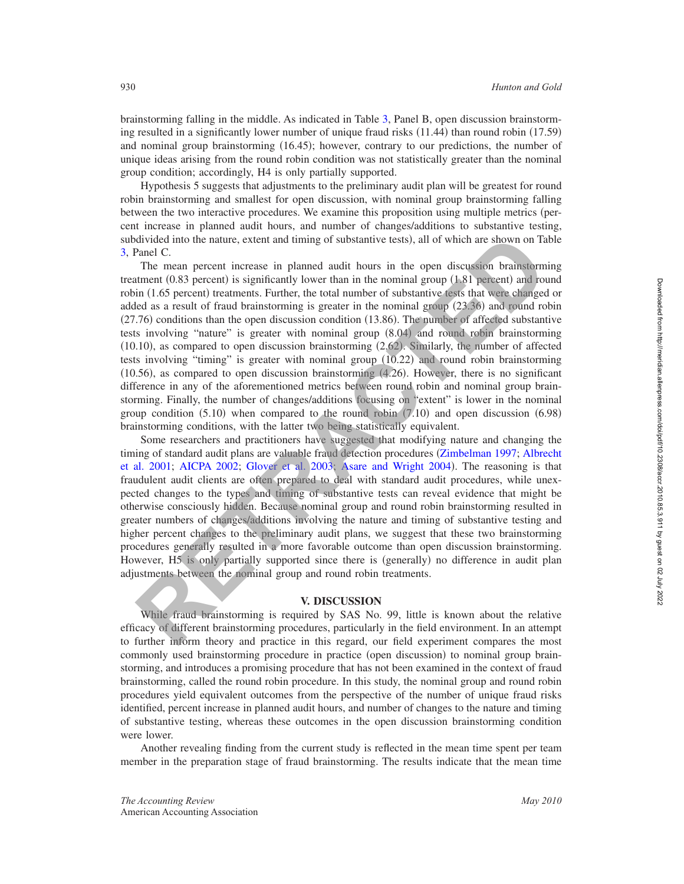brainstorming falling in the middle. As indicated in Table [3,](#page-17-0) Panel B, open discussion brainstorming resulted in a significantly lower number of unique fraud risks (11.44) than round robin (17.59) and nominal group brainstorming (16.45); however, contrary to our predictions, the number of unique ideas arising from the round robin condition was not statistically greater than the nominal group condition; accordingly, H4 is only partially supported.

Hypothesis 5 suggests that adjustments to the preliminary audit plan will be greatest for round robin brainstorming and smallest for open discussion, with nominal group brainstorming falling between the two interactive procedures. We examine this proposition using multiple metrics (percent increase in planned audit hours, and number of changes/additions to substantive testing, subdivided into the nature, extent and timing of substantive tests), all of which are shown on Table [3,](#page-17-0) Panel C.

The mean percent increase in planned audit hours in the open discussion brainstorming treatment (0.83 percent) is significantly lower than in the nominal group (1.81 percent) and round robin (1.65 percent) treatments. Further, the total number of substantive tests that were changed or added as a result of fraud brainstorming is greater in the nominal group (23.36) and round robin (27.76) conditions than the open discussion condition (13.86). The number of affected substantive tests involving "nature" is greater with nominal group (8.04) and round robin brainstorming (10.10), as compared to open discussion brainstorming (2.62). Similarly, the number of affected tests involving "timing" is greater with nominal group (10.22) and round robin brainstorming (10.56), as compared to open discussion brainstorming (4.26). However, there is no significant difference in any of the aforementioned metrics between round robin and nominal group brainstorming. Finally, the number of changes/additions focusing on "extent" is lower in the nominal group condition  $(5.10)$  when compared to the round robin  $(7.10)$  and open discussion  $(6.98)$ brainstorming conditions, with the latter two being statistically equivalent. divided into the nature, extent and timing of substantive tests), all of which are shown on Ta<br>
and C.<br>
Panel C.<br>
The mean percent is significantly lower than in the nominal group (1.83 percent) and rot<br>
intent (0.83 perce

Some researchers and practitioners have suggested that modifying nature and changing the timing of standard audit plans are valuable fraud detection procedures (Zimbelman 1997; [Albrecht](#page-22-10) et al. 2001; AICPA 2002; Glover et al. 2003; Asare and Wright 2004). The reasoning is that fraudulent audit clients are often prepared to deal with standard audit procedures, while unexpected changes to the types and timing of substantive tests can reveal evidence that might be otherwise consciously hidden. Because nominal group and round robin brainstorming resulted in greater numbers of changes/additions involving the nature and timing of substantive testing and higher percent changes to the preliminary audit plans, we suggest that these two brainstorming procedures generally resulted in a more favorable outcome than open discussion brainstorming. However, H5 is only partially supported since there is (generally) no difference in audit plan adjustments between the nominal group and round robin treatments.

#### **V. DISCUSSION**

While fraud brainstorming is required by SAS No. 99, little is known about the relative efficacy of different brainstorming procedures, particularly in the field environment. In an attempt to further inform theory and practice in this regard, our field experiment compares the most commonly used brainstorming procedure in practice (open discussion) to nominal group brainstorming, and introduces a promising procedure that has not been examined in the context of fraud brainstorming, called the round robin procedure. In this study, the nominal group and round robin procedures yield equivalent outcomes from the perspective of the number of unique fraud risks identified, percent increase in planned audit hours, and number of changes to the nature and timing of substantive testing, whereas these outcomes in the open discussion brainstorming condition were lower.

Another revealing finding from the current study is reflected in the mean time spent per team member in the preparation stage of fraud brainstorming. The results indicate that the mean time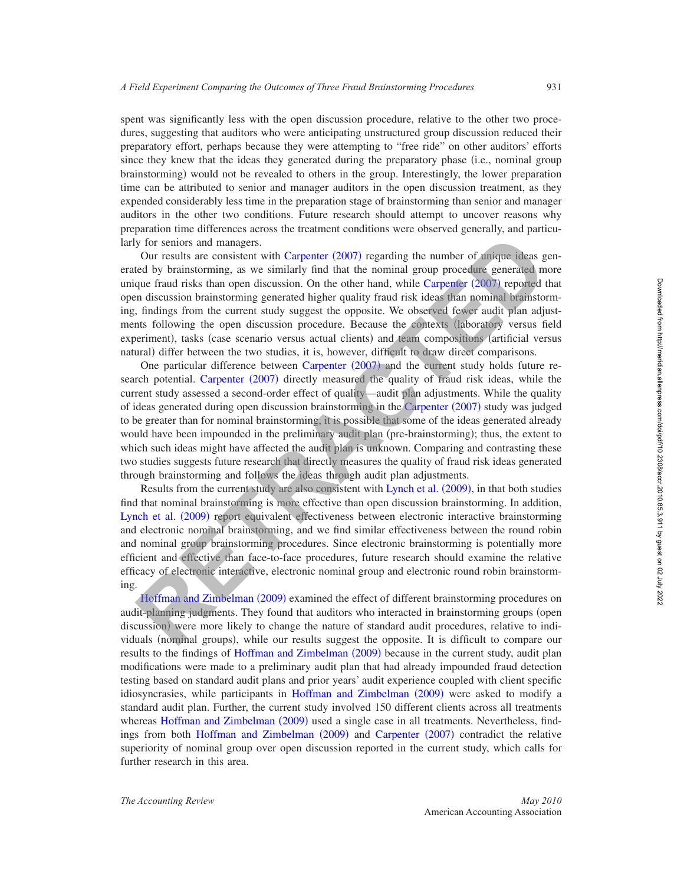spent was significantly less with the open discussion procedure, relative to the other two procedures, suggesting that auditors who were anticipating unstructured group discussion reduced their preparatory effort, perhaps because they were attempting to "free ride" on other auditors' efforts since they knew that the ideas they generated during the preparatory phase (i.e., nominal group brainstorming) would not be revealed to others in the group. Interestingly, the lower preparation time can be attributed to senior and manager auditors in the open discussion treatment, as they expended considerably less time in the preparation stage of brainstorming than senior and manager auditors in the other two conditions. Future research should attempt to uncover reasons why preparation time differences across the treatment conditions were observed generally, and particularly for seniors and managers.

Our results are consistent with Carpenter (2007) regarding the number of unique ideas generated by brainstorming, as we similarly find that the nominal group procedure generated more unique fraud risks than open discussion. On the other hand, while Carpenter (2007) reported that open discussion brainstorming generated higher quality fraud risk ideas than nominal brainstorming, findings from the current study suggest the opposite. We observed fewer audit plan adjustments following the open discussion procedure. Because the contexts laboratory versus field experiment), tasks (case scenario versus actual clients) and team compositions (artificial versus natural) differ between the two studies, it is, however, difficult to draw direct comparisons.

One particular difference between Carpenter (2007) and the current study holds future research potential. Carpenter (2007) directly measured the quality of fraud risk ideas, while the current study assessed a second-order effect of quality—audit plan adjustments. While the quality of ideas generated during open discussion brainstorming in the Carpenter (2007) study was judged to be greater than for nominal brainstorming, it is possible that some of the ideas generated already would have been impounded in the preliminary audit plan (pre-brainstorming); thus, the extent to which such ideas might have affected the audit plan is unknown. Comparing and contrasting these two studies suggests future research that directly measures the quality of fraud risk ideas generated through brainstorming and follows the ideas through audit plan adjustments. y for seniors and managers.<br>
Yor seniors and managers.<br>
Our results are consistent with [C](#page-22-4)arpenter (2007) regarding the number of anique delasts<br>
del by brainstoroming, as we similarly find that the nominal group procedure

Results from the current study are also consistent with Lynch et al. (2009), in that both studies find that nominal brainstorming is more effective than open discussion brainstorming. In addition, Lynch et al. (2009) report equivalent effectiveness between electronic interactive brainstorming and electronic nominal brainstorming, and we find similar effectiveness between the round robin and nominal group brainstorming procedures. Since electronic brainstorming is potentially more efficient and effective than face-to-face procedures, future research should examine the relative efficacy of electronic interactive, electronic nominal group and electronic round robin brainstorming.

Hoffman and Zimbelman (2009) examined the effect of different brainstorming procedures on audit-planning judgments. They found that auditors who interacted in brainstorming groups (open discussion) were more likely to change the nature of standard audit procedures, relative to individuals (nominal groups), while our results suggest the opposite. It is difficult to compare our results to the findings of [Hoffman and Zimbelman](#page-23-5) (2009) because in the current study, audit plan modifications were made to a preliminary audit plan that had already impounded fraud detection testing based on standard audit plans and prior years' audit experience coupled with client specific idiosyncrasies, while participants in [Hoffman and Zimbelman](#page-23-5) (2009) were asked to modify a standard audit plan. Further, the current study involved 150 different clients across all treatments whereas [Hoffman and Zimbelman](#page-23-5) (2009) used a single case in all treatments. Nevertheless, find-ings from both [Hoffman and Zimbelman](#page-23-5) (2009) and [Carpenter](#page-22-4) (2007) contradict the relative superiority of nominal group over open discussion reported in the current study, which calls for further research in this area.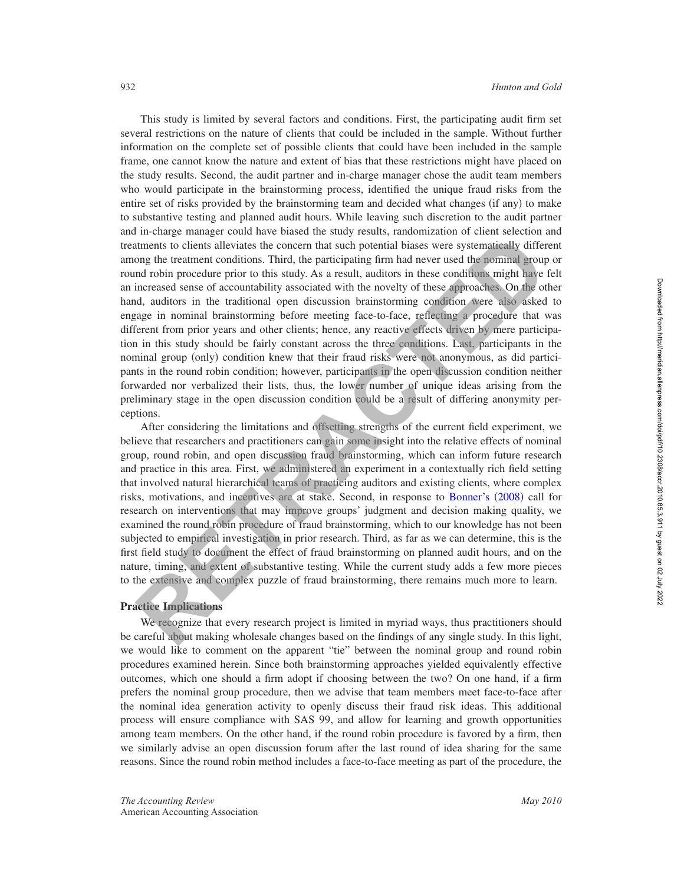This study is limited by several factors and conditions. First, the participating audit firm set several restrictions on the nature of clients that could be included in the sample. Without further information on the complete set of possible clients that could have been included in the sample frame, one cannot know the nature and extent of bias that these restrictions might have placed on the study results. Second, the audit partner and in-charge manager chose the audit team members who would participate in the brainstorming process, identified the unique fraud risks from the entire set of risks provided by the brainstorming team and decided what changes (if any) to make to substantive testing and planned audit hours. While leaving such discretion to the audit partner and in-charge manager could have biased the study results, randomization of client selection and treatments to clients alleviates the concern that such potential biases were systematically different among the treatment conditions. Third, the participating firm had never used the nominal group or round robin procedure prior to this study. As a result, auditors in these conditions might have felt an increased sense of accountability associated with the novelty of these approaches. On the other hand, auditors in the traditional open discussion brainstorming condition were also asked to engage in nominal brainstorming before meeting face-to-face, reflecting a procedure that was different from prior years and other clients; hence, any reactive effects driven by mere participation in this study should be fairly constant across the three conditions. Last, participants in the nominal group (only) condition knew that their fraud risks were not anonymous, as did participants in the round robin condition; however, participants in the open discussion condition neither forwarded nor verbalized their lists, thus, the lower number of unique ideas arising from the preliminary stage in the open discussion condition could be a result of differing anonymity perceptions. The was protention that the particle incomparation of the matter and the concentral and the protection of the metric of charge in noning the metric of charge in protection and the protection of the protection of the protec

After considering the limitations and offsetting strengths of the current field experiment, we believe that researchers and practitioners can gain some insight into the relative effects of nominal group, round robin, and open discussion fraud brainstorming, which can inform future research and practice in this area. First, we administered an experiment in a contextually rich field setting that involved natural hierarchical teams of practicing auditors and existing clients, where complex risks, motivations, and incentives are at stake. Second, in response to Bonner's (2008) call for research on interventions that may improve groups' judgment and decision making quality, we examined the round robin procedure of fraud brainstorming, which to our knowledge has not been subjected to empirical investigation in prior research. Third, as far as we can determine, this is the first field study to document the effect of fraud brainstorming on planned audit hours, and on the nature, timing, and extent of substantive testing. While the current study adds a few more pieces to the extensive and complex puzzle of fraud brainstorming, there remains much more to learn.

#### **Practice Implications**

We recognize that every research project is limited in myriad ways, thus practitioners should be careful about making wholesale changes based on the findings of any single study. In this light, we would like to comment on the apparent "tie" between the nominal group and round robin procedures examined herein. Since both brainstorming approaches yielded equivalently effective outcomes, which one should a firm adopt if choosing between the two? On one hand, if a firm prefers the nominal group procedure, then we advise that team members meet face-to-face after the nominal idea generation activity to openly discuss their fraud risk ideas. This additional process will ensure compliance with SAS 99, and allow for learning and growth opportunities among team members. On the other hand, if the round robin procedure is favored by a firm, then we similarly advise an open discussion forum after the last round of idea sharing for the same reasons. Since the round robin method includes a face-to-face meeting as part of the procedure, the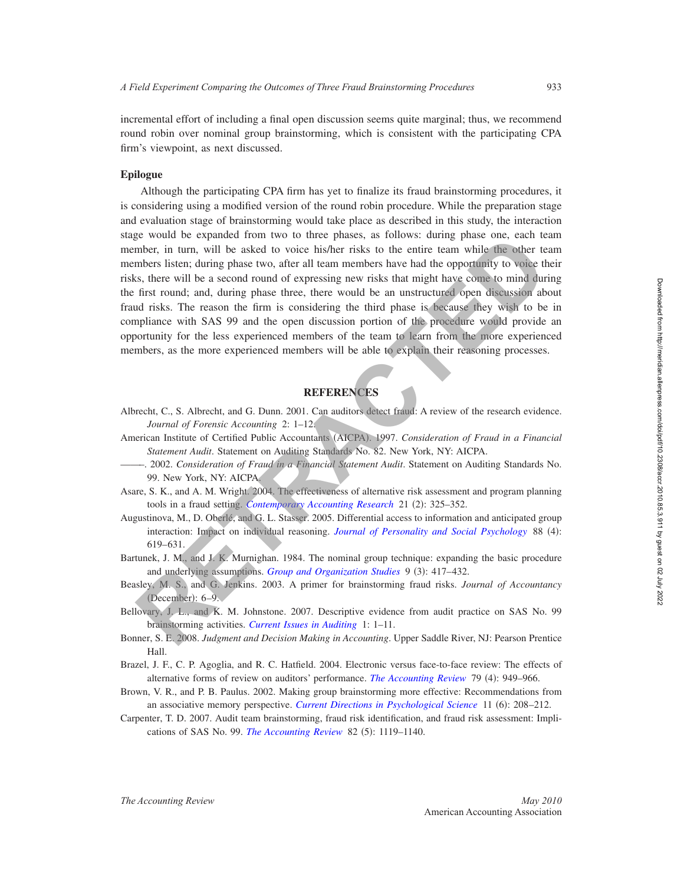incremental effort of including a final open discussion seems quite marginal; thus, we recommend round robin over nominal group brainstorming, which is consistent with the participating CPA firm's viewpoint, as next discussed.

# **Epilogue**

Although the participating CPA firm has yet to finalize its fraud brainstorming procedures, it is considering using a modified version of the round robin procedure. While the preparation stage and evaluation stage of brainstorming would take place as described in this study, the interaction stage would be expanded from two to three phases, as follows: during phase one, each team member, in turn, will be asked to voice his/her risks to the entire team while the other team members listen; during phase two, after all team members have had the opportunity to voice their risks, there will be a second round of expressing new risks that might have come to mind during the first round; and, during phase three, there would be an unstructured open discussion about fraud risks. The reason the firm is considering the third phase is because they wish to be in compliance with SAS 99 and the open discussion portion of the procedure would provide an opportunity for the less experienced members of the team to learn from the more experienced members, as the more experienced members will be able to explain their reasoning processes. is would be expanded from two to three phases, as follows: cluming phase one, earn tends, the expanded from the sixet in turn, will be asked to voice hisher risks to the either team while the other te the best can be escon

# **REFERENCES**

- <span id="page-22-10"></span><span id="page-22-5"></span><span id="page-22-0"></span>Albrecht, C., S. Albrecht, and G. Dunn. 2001. Can auditors detect fraud: A review of the research evidence. *Journal of Forensic Accounting* 2: 1–12.
- <span id="page-22-11"></span>American Institute of Certified Public Accountants (AICPA). 1997. *Consideration of Fraud in a Financial Statement Audit*. Statement on Auditing Standards No. 82. New York, NY: AICPA.
- <span id="page-22-9"></span>——–. 2002. *Consideration of Fraud in a Financial Statement Audit*. Statement on Auditing Standards No. 99. New York, NY: AICPA.
- Asare, S. K., and A. M. Wright. 2004. The effectiveness of alternative risk assessment and program planning tools in a fraud setting. *Contemporary Accounting Research* 21 (2): 325-352.
- <span id="page-22-7"></span>Augustinova, M., D. Oberlé, and G. L. Stasser. 2005. Differential access to information and anticipated group interaction: Impact on individual reasoning. *Journal of Personality and Social Psychology* 88 (4): 619–631.
- <span id="page-22-3"></span><span id="page-22-1"></span>Bartunek, J. M., and J. K. Murnighan. 1984. The nominal group technique: expanding the basic procedure and underlying assumptions. Group and Organization Studies 9 (3): 417-432.
- <span id="page-22-2"></span>Beasley, M. S., and G. Jenkins. 2003. A primer for brainstorming fraud risks. *Journal of Accountancy* (December): 6-9.
- <span id="page-22-8"></span>Bellovary, J. L., and K. M. Johnstone. 2007. Descriptive evidence from audit practice on SAS No. 99 brainstorming activities. *Current Issues in Auditing* 1: 1–11.
- <span id="page-22-6"></span>Bonner, S. E. 2008. *Judgment and Decision Making in Accounting*. Upper Saddle River, NJ: Pearson Prentice Hall.
- <span id="page-22-4"></span>Brazel, J. F., C. P. Agoglia, and R. C. Hatfield. 2004. Electronic versus face-to-face review: The effects of alternative forms of review on auditors' performance. *[The Accounting Review](http://dx.doi.org/10.2308/accr.2004.79.4.949)* 79 (4): 949–966.
- Brown, V. R., and P. B. Paulus. 2002. Making group brainstorming more effective: Recommendations from an associative memory perspective. *[Current Directions in Psychological Science](http://dx.doi.org/10.1111/1467-8721.00202)* 11 (6): 208-212.
- Carpenter, T. D. 2007. Audit team brainstorming, fraud risk identification, and fraud risk assessment: Implications of SAS No. 99. *[The Accounting Review](http://dx.doi.org/10.2308/accr.2007.82.5.1119)* 82 (5): 1119-1140.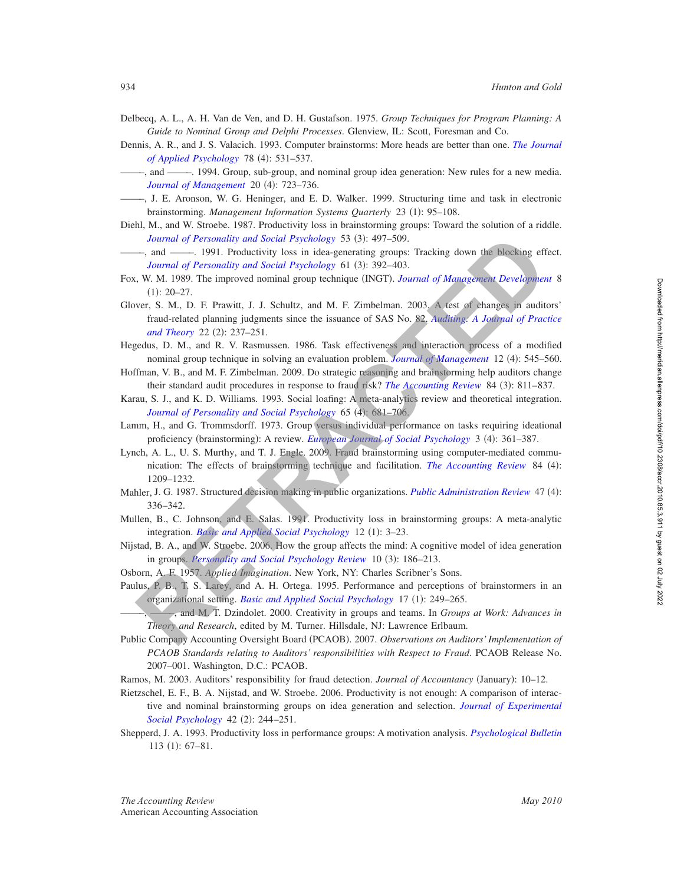- <span id="page-23-11"></span><span id="page-23-4"></span><span id="page-23-3"></span>Delbecq, A. L., A. H. Van de Ven, and D. H. Gustafson. 1975. *Group Techniques for Program Planning: A Guide to Nominal Group and Delphi Processes*. Glenview, IL: Scott, Foresman and Co.
- <span id="page-23-13"></span>Dennis, A. R., and J. S. Valacich. 1993. Computer brainstorms: More heads are better than one. *[The Journal](http://dx.doi.org/10.1037/0021-9010.78.4.531)* [of Applied Psychology](http://dx.doi.org/10.1037/0021-9010.78.4.531) 78 (4): 531-537.
- <span id="page-23-1"></span>——–, and ——–. 1994. Group, sub-group, and nominal group idea generation: New rules for a new media. [Journal of Management](http://dx.doi.org/10.1016/0149-2063(94)90027-2) 20 (4): 723-736.
- <span id="page-23-2"></span>——–, J. E. Aronson, W. G. Heninger, and E. D. Walker. 1999. Structuring time and task in electronic brainstorming. Management Information Systems Quarterly 23 (1): 95-108.
- Diehl, M., and W. Stroebe. 1987. Productivity loss in brainstorming groups: Toward the solution of a riddle. Journal of Personality and Social Psychology 53 (3): 497-509.
- ——–, and ——–. 1991. Productivity loss in idea-generating groups: Tracking down the blocking effect. Journal of Personality and Social Psychology 61 (3): 392-403.
- <span id="page-23-22"></span>Fox, W. M. 1989. The improved nominal group technique (INGT). Journal of Management Development 8  $(1)$ : 20-27.
- <span id="page-23-21"></span>Glover, S. M., D. F. Prawitt, J. J. Schultz, and M. F. Zimbelman. 2003. A test of changes in auditors' fraud-related planning judgments since the issuance of SAS No. 82. *Auditing: A Journal of Practice* and Theory 22 (2): 237-251.
- <span id="page-23-16"></span><span id="page-23-5"></span>Hegedus, D. M., and R. V. Rasmussen. 1986. Task effectiveness and interaction process of a modified nominal group technique in solving an evaluation problem. *Journal of Management* 12 (4): 545–560.
- <span id="page-23-18"></span>Hoffman, V. B., and M. F. Zimbelman. 2009. Do strategic reasoning and brainstorming help auditors change their standard audit procedures in response to fraud risk? The Accounting Review 84 (3): 811-837.
- <span id="page-23-6"></span>Karau, S. J., and K. D. Williams. 1993. Social loafing: A meta-analytics review and theoretical integration. Journal of Personality and Social Psychology 65 (4): 681-706.
- <span id="page-23-19"></span>Lamm, H., and G. Trommsdorff. 1973. Group versus individual performance on tasks requiring ideational proficiency (brainstorming): A review. *European Journal of Social Psychology* 3 (4): 361–387.
- <span id="page-23-20"></span>Lynch, A. L., U. S. Murthy, and T. J. Engle. 2009. Fraud brainstorming using computer-mediated communication: The effects of brainstorming technique and facilitation. *The Accounting Review* 84 (4): 1209–1232. *Journal of Personality and Social Paythology 53 (3): 497-500.<br> Allowing and Social Psychology 61 (3): 392-403.<br> [RE](http://dx.doi.org/10.1207/s15327957pspr1003_1)P Journal of Personality and Social Psychology 61 (3): 392-403.<br>
(W. M. 1989. [T](http://dx.doi.org/10.1207/s15324834basp1201_1)he improved nominal grou*
- <span id="page-23-15"></span><span id="page-23-10"></span>Mahler, J. G. 1987. Structured decision making in public organizations. Public Administration Review 47 (4): 336–342.
- <span id="page-23-8"></span>Mullen, B., C. Johnson, and E. Salas. 1991. Productivity loss in brainstorming groups: A meta-analytic integration. *Basic and Applied Social Psychology* 12 (1): 3-23.
- <span id="page-23-12"></span>Nijstad, B. A., and W. Stroebe. 2006. How the group affects the mind: A cognitive model of idea generation in groups. Personality and Social Psychology Review 10 (3): 186-213.

<span id="page-23-9"></span>Osborn, A. F. 1957. *Applied Imagination*. New York, NY: Charles Scribner's Sons.

- <span id="page-23-0"></span>Paulus, P. B., T. S. Larey, and A. H. Ortega. 1995. Performance and perceptions of brainstormers in an organizational setting. Basic and Applied Social Psychology 17 (1): 249-265.
- ——–, ——–, and M. T. Dzindolet. 2000. Creativity in groups and teams. In *Groups at Work: Advances in Theory and Research*, edited by M. Turner. Hillsdale, NJ: Lawrence Erlbaum.

<span id="page-23-14"></span><span id="page-23-7"></span>Public Company Accounting Oversight Board (PCAOB). 2007. *Observations on Auditors' Implementation of PCAOB Standards relating to Auditors' responsibilities with Respect to Fraud*. PCAOB Release No. 2007–001. Washington, D.C.: PCAOB.

- Ramos, M. 2003. Auditors' responsibility for fraud detection. *Journal of Accountancy* (January): 10-12.
- <span id="page-23-17"></span>Rietzschel, E. F., B. A. Nijstad, and W. Stroebe. 2006. Productivity is not enough: A comparison of interactive and nominal brainstorming groups on idea generation and selection. *[Journal of Experimental](http://dx.doi.org/10.1016/j.jesp.2005.04.005)* [Social Psychology](http://dx.doi.org/10.1016/j.jesp.2005.04.005) 42 (2): 244-251.
- Shepperd, J. A. 1993. Productivity loss in performance groups: A motivation analysis. *[Psychological Bulletin](http://dx.doi.org/10.1037/0033-2909.113.1.67)* 113 (1): 67-81.